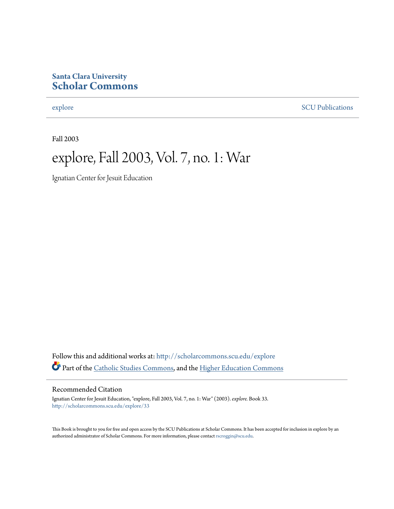### **Santa Clara University [Scholar Commons](http://scholarcommons.scu.edu?utm_source=scholarcommons.scu.edu%2Fexplore%2F33&utm_medium=PDF&utm_campaign=PDFCoverPages)**

[explore](http://scholarcommons.scu.edu/explore?utm_source=scholarcommons.scu.edu%2Fexplore%2F33&utm_medium=PDF&utm_campaign=PDFCoverPages) [SCU Publications](http://scholarcommons.scu.edu/scu_pubs?utm_source=scholarcommons.scu.edu%2Fexplore%2F33&utm_medium=PDF&utm_campaign=PDFCoverPages)

Fall 2003

### explore, Fall 2003, Vol. 7, no. 1: War

Ignatian Center for Jesuit Education

Follow this and additional works at: [http://scholarcommons.scu.edu/explore](http://scholarcommons.scu.edu/explore?utm_source=scholarcommons.scu.edu%2Fexplore%2F33&utm_medium=PDF&utm_campaign=PDFCoverPages) Part of the [Catholic Studies Commons,](http://network.bepress.com/hgg/discipline/1294?utm_source=scholarcommons.scu.edu%2Fexplore%2F33&utm_medium=PDF&utm_campaign=PDFCoverPages) and the [Higher Education Commons](http://network.bepress.com/hgg/discipline/1245?utm_source=scholarcommons.scu.edu%2Fexplore%2F33&utm_medium=PDF&utm_campaign=PDFCoverPages)

### Recommended Citation

Ignatian Center for Jesuit Education, "explore, Fall 2003, Vol. 7, no. 1: War" (2003). *explore.* Book 33. [http://scholarcommons.scu.edu/explore/33](http://scholarcommons.scu.edu/explore/33?utm_source=scholarcommons.scu.edu%2Fexplore%2F33&utm_medium=PDF&utm_campaign=PDFCoverPages)

This Book is brought to you for free and open access by the SCU Publications at Scholar Commons. It has been accepted for inclusion in explore by an authorized administrator of Scholar Commons. For more information, please contact [rscroggin@scu.edu.](mailto:rscroggin@scu.edu)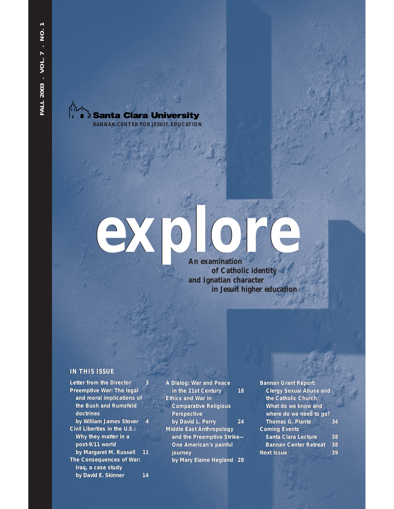**Santa Clara University BANNAN CENTER FOR JESUIT EDUCATION**

# **An examination** explore

**of Catholic identity and Ignatian character in Jesuit higher education**

### **IN THIS ISSUE**

- **Letter from the Director 3 Letter from the Director 3 Preemptive War: The legal and moral implications of the Bush and Rumsfeld doctrines doctrines***by William James Stover* **4** *by William James Stover* **4 Civil Liberties in the U.S.: Civil Liberties in the U.S.: Why they matter in a Why they matter in a post-9/11 world post-9/11 world** *by Margaret M. Russell* **11** *by Margaret M. Russell***11 The Consequences of War: The Consequences of War: Iraq, a case study Iraq, a case study** *by David E. Skinner* **14** *by David E. Skinner***14 Preemptive War: The legal and moral implications ofthe Bush and Rumsfeld**
- **A Dialog: War and Peace A Dialog: War and Peace** in the 21st Century 18 **Ethics and War in Comparative Religious Ethics and War inComparative Perspective** *by David L. Perry* **24** *by L.*  **Middle East Anthropology Middle East Anthropology and the Preemptive Strike— and the One American's painful American's journey** *by Mary Elaine Hegland* **28** *by Elaine Hegland*
- **Bannan Grant Report: Bannan Grant Report: Clergy Sexual Abuse and Clergy Sexual Abuse the Catholic Church: What do we know and** the Catholic Church:<br>What do we know and<br>where do we need to go? *Thomas G. Plante* **34** *Thomas G.*  **34 Coming Events Coming Events Santa Clara Lecture 38 Santa Lecture 38 Bannan Center Retreat 38 Bannan Center Retreat 38 Next Issue 39 Next Issue 39**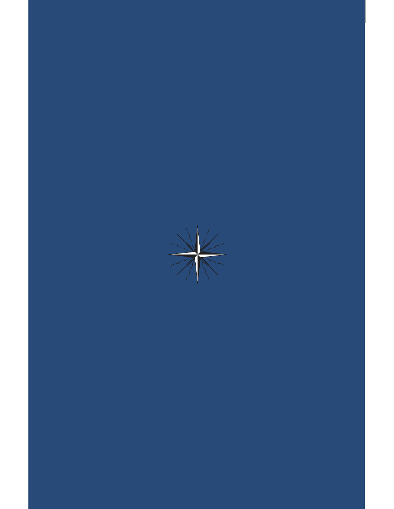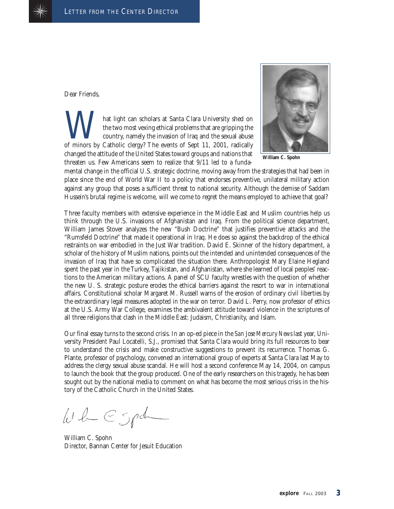

Dear Friends,

hat light can scholars at Santa Clara University shed on the two most vexing ethical problems that are gripping the country, namely the invasion of Iraq and the sexual abuse of minors by Catholic clergy? The events of Sept 11, 2001, radically changed the attitude of the United States toward groups and nations that threaten us. Few Americans seem to realize that 9/11 led to a funda-



**William C. Spohn**

mental change in the official U.S. strategic doctrine, moving away from the strategies that had been in place since the end of World War II to a policy that endorses preventive, unilateral military action against any group that poses a sufficient threat to national security. Although the demise of Saddam Hussein's brutal regime is welcome, will we come to regret the means employed to achieve that goal?

Three faculty members with extensive experience in the Middle East and Muslim countries help us think through the U.S. invasions of Afghanistan and Iraq. From the political science department, William James Stover analyzes the new "Bush Doctrine" that justifies preventive attacks and the "Rumsfeld Doctrine" that made it operational in Iraq. He does so against the backdrop of the ethical restraints on war embodied in the Just War tradition. David E. Skinner of the history department, a scholar of the history of Muslim nations, points out the intended and unintended consequences of the invasion of Iraq that have so complicated the situation there. Anthropologist Mary Elaine Hegland spent the past year in the Turkey, Tajikistan, and Afghanistan, where she learned of local peoples' reactions to the American military actions. A panel of SCU faculty wrestles with the question of whether the new U. S. strategic posture erodes the ethical barriers against the resort to war in international affairs. Constitutional scholar Margaret M. Russell warns of the erosion of ordinary civil liberties by the extraordinary legal measures adopted in the war on terror. David L. Perry, now professor of ethics at the U.S. Army War College, examines the ambivalent attitude toward violence in the scriptures of all three religions that clash in the Middle East: Judaism, Christianity, and Islam.

Our final essay turns to the second crisis. In an op-ed piece in the *San Jose Mercury News* last year, University President Paul Locatelli, S.J., promised that Santa Clara would bring its full resources to bear to understand the crisis and make constructive suggestions to prevent its recurrence. Thomas G. Plante, professor of psychology, convened an international group of experts at Santa Clara last May to address the clergy sexual abuse scandal. He will host a second conference May 14, 2004, on campus to launch the book that the group produced. One of the early researchers on this tragedy, he has been sought out by the national media to comment on what has become the most serious crisis in the history of the Catholic Church in the United States.

 $WL\subset Spd$ 

William C. Spohn Director, Bannan Center for Jesuit Education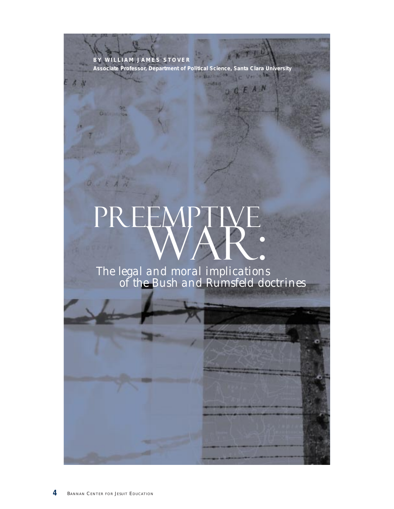

- Barkados

**Leading** 

**U**ett

FAN

# PREEMPTIVE

*The legal and moral implications of the Bush and Rumsfeld doctrines*

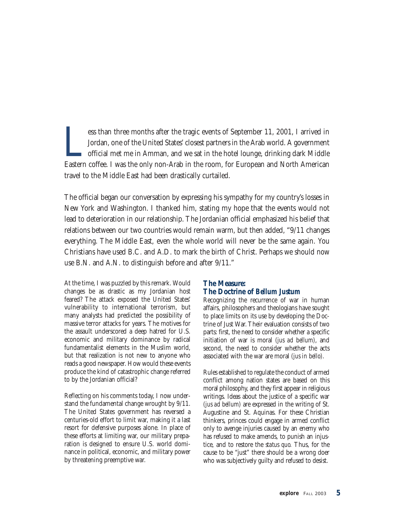In three months after the tragic events of September 11, 2001, I arrived in Jordan, one of the United States' closest partners in the Arab world. A government official met me in Amman, and we sat in the hotel lounge, drink Jordan, one of the United States' closest partners in the Arab world. A government official met me in Amman, and we sat in the hotel lounge, drinking dark Middle Eastern coffee. I was the only non-Arab in the room, for European and North American travel to the Middle East had been drastically curtailed.

The official began our conversation by expressing his sympathy for my country's losses in New York and Washington. I thanked him, stating my hope that the events would not lead to deterioration in our relationship. The Jordanian official emphasized his belief that relations between our two countries would remain warm, but then added, "9/11 changes everything. The Middle East, even the whole world will never be the same again. You Christians have used B.C. and A.D. to mark the birth of Christ. Perhaps we should now use B.N. and A.N. to distinguish before and after 9/11."

At the time, I was puzzled by this remark. Would changes be as drastic as my Jordanian host feared? The attack exposed the United States' vulnerability to international terrorism, but many analysts had predicted the possibility of massive terror attacks for years. The motives for the assault underscored a deep hatred for U.S. economic and military dominance by radical fundamentalist elements in the Muslim world, but that realization is not new to anyone who reads a good newspaper. How would these events produce the kind of catastrophic change referred to by the Jordanian official?

Reflecting on his comments today, I now understand the fundamental change wrought by 9/11. The United States government has reversed a centuries-old effort to limit war, making it a last resort for defensive purposes alone. In place of these efforts at limiting war, our military preparation is designed to ensure U.S. world dominance in political, economic, and military power by threatening preemptive war.

### **The Measure: The Doctrine of** *Bellum Justum*

Recognizing the recurrence of war in human affairs, philosophers and theologians have sought to place limits on its use by developing the Doctrine of Just War. Their evaluation consists of two parts: first, the need to consider whether a specific initiation of war is moral *(jus ad bellum)*, and second, the need to consider whether the acts associated with the war are moral *(jus in bello)*.

Rules established to regulate the conduct of armed conflict among nation states are based on this moral philosophy, and they first appear in religious writings. Ideas about the justice of a specific war *(jus ad bellum)* are expressed in the writing of St. Augustine and St. Aquinas. For these Christian thinkers, princes could engage in armed conflict only to avenge injuries caused by an enemy who has refused to make amends, to punish an injustice, and to restore the *status quo.* Thus, for the cause to be "just" there should be a wrong doer who was subjectively guilty and refused to desist.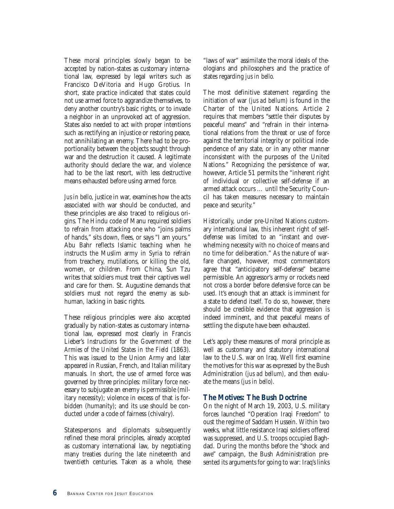These moral principles slowly began to be accepted by nation-states as customary international law, expressed by legal writers such as Francisco DeVitoria and Hugo Grotius. In short, state practice indicated that states could not use armed force to aggrandize themselves, to deny another country's basic rights, or to invade a neighbor in an unprovoked act of aggression. States also needed to act with proper intentions such as rectifying an injustice or restoring peace, not annihilating an enemy. There had to be proportionality between the objects sought through war and the destruction it caused. A legitimate authority should declare the war, and violence had to be the last resort, with less destructive means exhausted before using armed force.

*Jus in bello,* justice in war, examines how the acts associated with war should be conducted, and these principles are also traced to religious origins. The Hindu code of Manu required soldiers to refrain from attacking one who "joins palms of hands," sits down, flees, or says "I am yours." Abu Bahr reflects Islamic teaching when he instructs the Muslim army in Syria to refrain from treachery, mutilations, or killing the old, women, or children. From China, Sun Tzu writes that soldiers must treat their captives well and care for them. St. Augustine demands that soldiers must not regard the enemy as subhuman, lacking in basic rights.

These religious principles were also accepted gradually by nation-states as customary international law, expressed most clearly in Francis Lieber's *Instructions for the Government of the Armies of the United States in the Field* (1863). This was issued to the Union Army and later appeared in Russian, French, and Italian military manuals. In short, the use of armed force was governed by three principles: military force necessary to subjugate an enemy is permissible (military necessity); violence in excess of that is forbidden (humanity); and its use should be conducted under a code of fairness (chivalry).

Statespersons and diplomats subsequently refined these moral principles, already accepted as customary international law, by negotiating many treaties during the late nineteenth and twentieth centuries. Taken as a whole, these "laws of war" assimilate the moral ideals of theologians and philosophers and the practice of states regarding *jus in bello.*

The most definitive statement regarding the initiation of war *(jus ad bellum)* is found in the Charter of the United Nations. Article 2 requires that members "settle their disputes by peaceful means" and "refrain in their international relations from the threat or use of force against the territorial integrity or political independence of any state, or in any other manner inconsistent with the purposes of the United Nations." Recognizing the persistence of war, however, Article 51 permits the "inherent right of individual or collective self-defense if an armed attack occurs … until the Security Council has taken measures necessary to maintain peace and security."

Historically, under pre-United Nations customary international law, this inherent right of selfdefense was limited to an "instant and overwhelming necessity with no choice of means and no time for deliberation." As the nature of warfare changed, however, most commentators agree that "anticipatory self-defense" became permissible. An aggressor's army or rockets need not cross a border before defensive force can be used. It's enough that an attack is imminent for a state to defend itself. To do so, however, there should be credible evidence that aggression is indeed imminent, and that peaceful means of settling the dispute have been exhausted.

Let's apply these measures of moral principle as well as customary and statutory international law to the U.S. war on Iraq. We'll first examine the motives for this war as expressed by the Bush Administration *(jus ad bellum)*, and then evaluate the means *(jus in bello)*.

### **The Motives: The Bush Doctrine**

On the night of March 19, 2003, U.S. military forces launched "Operation Iraqi Freedom" to oust the regime of Saddam Hussein. Within two weeks, what little resistance Iraqi soldiers offered was suppressed, and U.S. troops occupied Baghdad. During the months before the "shock and awe" campaign, the Bush Administration presented its arguments for going to war: Iraq's links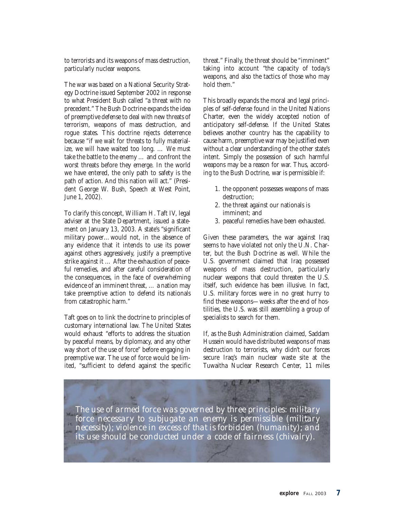to terrorists and its weapons of mass destruction, particularly nuclear weapons.

The war was based on a National Security Strategy Doctrine issued September 2002 in response to what President Bush called "a threat with no precedent." The Bush Doctrine expands the idea of preemptive defense to deal with new threats of terrorism, weapons of mass destruction, and rogue states. This doctrine rejects deterrence because "if we wait for threats to fully materialize, we will have waited too long. … We must take the battle to the enemy … and confront the worst threats before they emerge. In the world we have entered, the only path to safety is the path of action. And this nation will act." (President George W. Bush, Speech at West Point, June 1, 2002).

To clarify this concept, William H. Taft IV, legal adviser at the State Department, issued a statement on January 13, 2003. A state's "significant military power…would not, in the absence of any evidence that it intends to use its power against others aggressively, justify a preemptive strike against it … After the exhaustion of peaceful remedies, and after careful consideration of the consequences, in the face of overwhelming evidence of an imminent threat, … a nation may take preemptive action to defend its nationals from catastrophic harm."

Taft goes on to link the doctrine to principles of customary international law. The United States would exhaust "efforts to address the situation by peaceful means, by diplomacy, and any other way short of the use of force" before engaging in preemptive war. The use of force would be limited, "sufficient to defend against the specific threat." Finally, the threat should be "imminent" taking into account "the capacity of today's weapons, and also the tactics of those who may hold them."

This broadly expands the moral and legal principles of self-defense found in the United Nations Charter, even the widely accepted notion of anticipatory self-defense. If the United States believes another country has the capability to cause harm, preemptive war may be justified even without a clear understanding of the other state's intent. Simply the possession of such harmful weapons may be a reason for war. Thus, according to the Bush Doctrine, war is permissible if:

- 1. the opponent possesses weapons of mass destruction;
- 2. the threat against our nationals is imminent; and
- 3. peaceful remedies have been exhausted.

Given these parameters, the war against Iraq seems to have violated not only the U.N. Charter, but the Bush Doctrine as well. While the U.S. government claimed that Iraq possessed weapons of mass destruction, particularly nuclear weapons that could threaten the U.S. itself, such evidence has been illusive. In fact, U.S. military forces were in no great hurry to find these weapons—weeks after the end of hostilities, the U.S. was still assembling a group of specialists to search for them.

If, as the Bush Administration claimed, Saddam Hussein would have distributed weapons of mass destruction to terrorists, why didn't our forces secure Iraq's main nuclear waste site at the Tuwaitha Nuclear Research Center, 11 miles

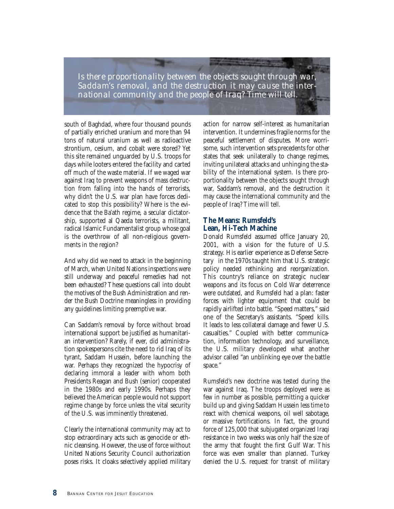*Is there proportionality between the objects sought through war, Saddam's removal, and the destruction it may cause the international community and the people of Iraq? Time will tell.*

south of Baghdad, where four thousand pounds of partially enriched uranium and more than 94 tons of natural uranium as well as radioactive strontium, cesium, and cobalt were stored? Yet this site remained unguarded by U.S. troops for days while looters entered the facility and carted off much of the waste material. If we waged war against Iraq to prevent weapons of mass destruction from falling into the hands of terrorists, why didn't the U.S. war plan have forces dedicated to stop this possibility? Where is the evidence that the Ba'ath regime, a secular dictatorship, supported al Qaeda terrorists, a militant, radical Islamic Fundamentalist group whose goal is the overthrow of all non-religious governments in the region?

And why did we need to attack in the beginning of March, when United Nations inspections were still underway and peaceful remedies had not been exhausted? These questions call into doubt the motives of the Bush Administration and render the Bush Doctrine meaningless in providing any guidelines limiting preemptive war.

Can Saddam's removal by force without broad international support be justified as humanitarian intervention? Rarely, if ever, did administration spokespersons cite the need to rid Iraq of its tyrant, Saddam Hussein, before launching the war. Perhaps they recognized the hypocrisy of declaring immoral a leader with whom both Presidents Reagan and Bush (senior) cooperated in the 1980s and early 1990s. Perhaps they believed the American people would not support regime change by force unless the vital security of the U.S. was imminently threatened.

Clearly the international community may act to stop extraordinary acts such as genocide or ethnic cleansing. However, the use of force without United Nations Security Council authorization poses risks. It cloaks selectively applied military action for narrow self-interest as humanitarian intervention. It undermines fragile norms for the peaceful settlement of disputes. More worrisome, such intervention sets precedents for other states that seek unilaterally to change regimes, inviting unilateral attacks and unhinging the stability of the international system. Is there proportionality between the objects sought through war, Saddam's removal, and the destruction it may cause the international community and the people of Iraq? Time will tell.

### **The Means: Rumsfeld's Lean, Hi-Tech Machine**

Donald Rumsfeld assumed office January 20, 2001, with a vision for the future of U.S. strategy. His earlier experience as Defense Secretary in the 1970s taught him that U.S. strategic policy needed rethinking and reorganization. This country's reliance on strategic nuclear weapons and its focus on Cold War deterrence were outdated, and Rumsfeld had a plan: faster forces with lighter equipment that could be rapidly airlifted into battle. "Speed matters," said one of the Secretary's assistants. "Speed kills. It leads to less collateral damage and fewer U.S. casualties." Coupled with better communication, information technology, and surveillance, the U.S. military developed what another advisor called "an unblinking eye over the battle space."

Rumsfeld's new doctrine was tested during the war against Iraq. The troops deployed were as few in number as possible, permitting a quicker build up and giving Saddam Hussein less time to react with chemical weapons, oil well sabotage, or massive fortifications. In fact, the ground force of 125,000 that subjugated organized Iraqi resistance in two weeks was only half the size of the army that fought the first Gulf War. This force was even smaller than planned. Turkey denied the U.S. request for transit of military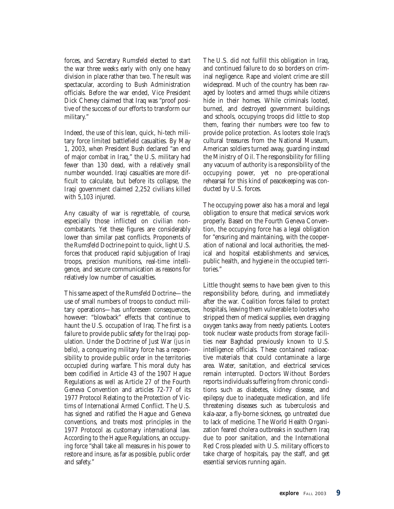forces, and Secretary Rumsfeld elected to start the war three weeks early with only one heavy division in place rather than two. The result was spectacular, according to Bush Administration officials. Before the war ended, Vice President Dick Cheney claimed that Iraq was "proof positive of the success of our efforts to transform our military."

Indeed, the use of this lean, quick, hi-tech military force limited battlefield casualties. By May 1, 2003, when President Bush declared "an end of major combat in Iraq," the U.S. military had fewer than 130 dead, with a relatively small number wounded. Iraqi casualties are more difficult to calculate, but before its collapse, the Iraqi government claimed 2,252 civilians killed with 5,103 injured.

Any casualty of war is regrettable, of course, especially those inflicted on civilian noncombatants. Yet these figures are considerably lower than similar past conflicts. Proponents of the Rumsfeld Doctrine point to quick, light U.S. forces that produced rapid subjugation of Iraqi troops, precision munitions, real-time intelligence, and secure communication as reasons for relatively low number of casualties.

This same aspect of the Rumsfeld Doctrine—the use of small numbers of troops to conduct military operations—has unforeseen consequences, however: "blowback" effects that continue to haunt the U.S. occupation of Iraq. The first is a failure to provide public safety for the Iraqi population. Under the Doctrine of Just War *(jus in bello)*, a conquering military force has a responsibility to provide public order in the territories occupied during warfare. This moral duty has been codified in Article 43 of the 1907 Hague Regulations as well as Article 27 of the Fourth Geneva Convention and articles 72-77 of its 1977 Protocol Relating to the Protection of Victims of International Armed Conflict. The U.S. has signed and ratified the Hague and Geneva conventions, and treats most principles in the 1977 Protocol as customary international law. According to the Hague Regulations, an occupying force "shall take all measures in his power to restore and insure, as far as possible, public order and safety."

The U.S. did not fulfill this obligation in Iraq, and continued failure to do so borders on criminal negligence. Rape and violent crime are still widespread. Much of the country has been ravaged by looters and armed thugs while citizens hide in their homes. While criminals looted, burned, and destroyed government buildings and schools, occupying troops did little to stop them, fearing their numbers were too few to provide police protection. As looters stole Iraq's cultural treasures from the National Museum, American soldiers turned away, guarding instead the Ministry of Oil. The responsibility for filling any vacuum of authority is a responsibility of the occupying power, yet no pre-operational rehearsal for this kind of peacekeeping was conducted by U.S. forces.

The occupying power also has a moral and legal obligation to ensure that medical services work properly. Based on the Fourth Geneva Convention, the occupying force has a legal obligation for "ensuring and maintaining, with the cooperation of national and local authorities, the medical and hospital establishments and services, public health, and hygiene in the occupied territories."

Little thought seems to have been given to this responsibility before, during, and immediately after the war. Coalition forces failed to protect hospitals, leaving them vulnerable to looters who stripped them of medical supplies, even dragging oxygen tanks away from needy patients. Looters took nuclear waste products from storage facilities near Baghdad previously known to U.S. intelligence officials. These contained radioactive materials that could contaminate a large area. Water, sanitation, and electrical services remain interrupted. Doctors Without Borders reports individuals suffering from chronic conditions such as diabetes, kidney disease, and epilepsy due to inadequate medication, and life threatening diseases such as tuberculosis and kala-azar, a fly-borne sickness, go untreated due to lack of medicine. The World Health Organization feared cholera outbreaks in southern Iraq due to poor sanitation, and the International Red Cross pleaded with U.S. military officers to take charge of hospitals, pay the staff, and get essential services running again.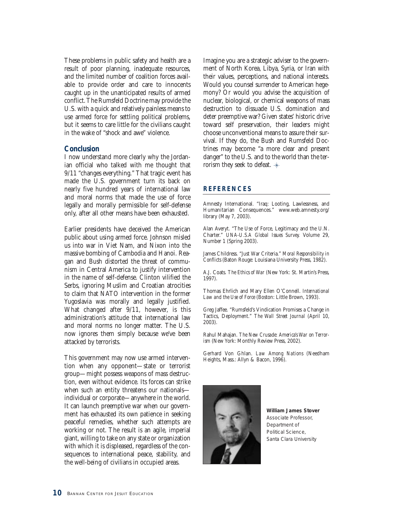These problems in public safety and health are a result of poor planning, inadequate resources, and the limited number of coalition forces available to provide order and care to innocents caught up in the unanticipated results of armed conflict. The Rumsfeld Doctrine may provide the U.S. with a quick and relatively painless means to use armed force for settling political problems, but it seems to care little for the civilians caught in the wake of "shock and awe" violence.

### **Conclusion**

I now understand more clearly why the Jordanian official who talked with me thought that 9/11 "changes everything." That tragic event has made the U.S. government turn its back on nearly five hundred years of international law and moral norms that made the use of force legally and morally permissible for self-defense only, after all other means have been exhausted.

Earlier presidents have deceived the American public about using armed force. Johnson misled us into war in Viet Nam, and Nixon into the massive bombing of Cambodia and Hanoi. Reagan and Bush distorted the threat of communism in Central America to justify intervention in the name of self-defense. Clinton vilified the Serbs, ignoring Muslim and Croatian atrocities to claim that NATO intervention in the former Yugoslavia was morally and legally justified. What changed after 9/11, however, is this administration's attitude that international law and moral norms no longer matter. The U.S. now ignores them simply because we've been attacked by terrorists.

This government may now use armed intervention when any opponent—state or terrorist group—might possess weapons of mass destruction, even without evidence. Its forces can strike when such an entity threatens our nationals individual or corporate—anywhere in the world. It can launch preemptive war when our government has exhausted its own patience in seeking peaceful remedies, whether such attempts are working or not. The result is an agile, imperial giant, willing to take on any state or organization with which it is displeased, regardless of the consequences to international peace, stability, and the well-being of civilians in occupied areas.

Imagine you are a strategic adviser to the government of North Korea, Libya, Syria, or Iran with their values, perceptions, and national interests. Would you counsel surrender to American hegemony? Or would you advise the acquisition of nuclear, biological, or chemical weapons of mass destruction to dissuade U.S. domination and deter preemptive war? Given states' historic drive toward self preservation, their leaders might choose unconventional means to assure their survival. If they do, the Bush and Rumsfeld Doctrines may become "a more clear and present danger" to the U.S. and to the world than the terrorism they seek to defeat.  $*$ 

### **REFERENCES**

Amnesty International. "Iraq: Looting, Lawlessness, and Humanitarian Consequences." www.web.amnesty.org/ library (May 7, 2003).

Alan Averyt. "The Use of Force, Legitimacy and the U.N. Charter." *UNA-U.S.A Global Issues Survey.* Volume 29, Number 1 (Spring 2003).

James Childress. "Just War Criteria." *Moral Responsibility in Conflicts* (Baton Rouge: Louisiana University Press, 1982).

A.J. Coats. *The Ethics of War* (New York: St. Martin's Press, 1997).

Thomas Ehrlich and Mary Ellen O'Connell. *International Law and the Use of Force* (Boston: Little Brown, 1993).

Greg Jaffee. "Rumsfeld's Vindication Promises a Change in Tactics, Deployment." *The Wall Street Journal* (April 10, 2003).

Rahul Mahajan. *The New Crusade: America's War on Terrorism* (New York: Monthly Review Press, 2002).

Gerhard Von Ghlan. *Law Among Nations* (Needham Heights, Mass.: Allyn & Bacon, 1996).



**William James Stover** *Associate Professor, Department of Political Science, Santa Clara University*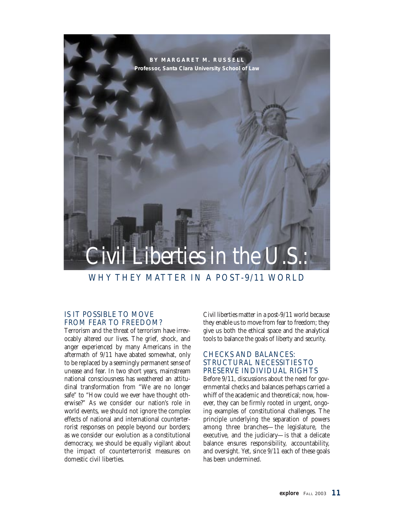

### WHY THEY MATTER IN A POST-9/11 WORLD

### IS IT POSSIBLE TO MOVE FROM FEAR TO FREEDOM?

Terrorism and the threat of terrorism have irrevocably altered our lives. The grief, shock, and anger experienced by many Americans in the aftermath of 9/11 have abated somewhat, only to be replaced by a seemingly permanent sense of unease and fear. In two short years, mainstream national consciousness has weathered an attitudinal transformation from "We are no longer safe" to "How could we ever have thought otherwise?" As we consider our nation's role in world events, we should not ignore the complex effects of national and international counterterrorist responses on people beyond our borders; as we consider our evolution as a constitutional democracy, we should be equally vigilant about the impact of counterterrorist measures on domestic civil liberties.

Civil liberties matter in a post-9/11 world because they enable us to move from fear to freedom; they give us both the ethical space and the analytical tools to balance the goals of liberty and security.

### CHECKS AND BALANCES: STRUCTURAL NECESSITIES TO PRESERVE INDIVIDUAL RIGHTS

Before 9/11, discussions about the need for governmental checks and balances perhaps carried a whiff of the academic and theoretical; now, however, they can be firmly rooted in urgent, ongoing examples of constitutional challenges. The principle underlying the separation of powers among three branches—the legislature, the executive, and the judiciary—is that a delicate balance ensures responsibility, accountability, and oversight. Yet, since 9/11 each of these goals has been undermined.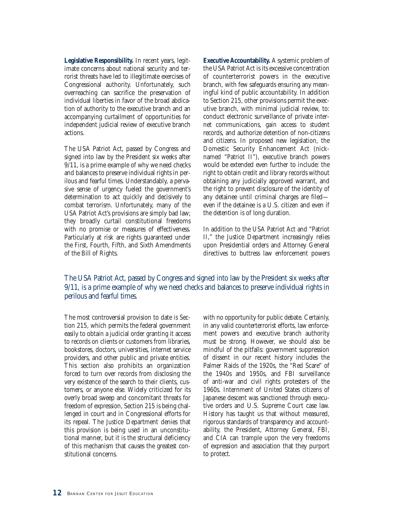**Legislative Responsibility.** In recent years, legitimate concerns about national security and terrorist threats have led to illegitimate exercises of Congressional authority. Unfortunately, such overreaching can sacrifice the preservation of individual liberties in favor of the broad abdication of authority to the executive branch and an accompanying curtailment of opportunities for independent judicial review of executive branch actions.

The USA Patriot Act, passed by Congress and signed into law by the President six weeks after 9/11, is a prime example of why we need checks and balances to preserve individual rights in perilous and fearful times. Understandably, a pervasive sense of urgency fueled the government's determination to act quickly and decisively to combat terrorism. Unfortunately, many of the USA Patriot Act's provisions are simply bad law; they broadly curtail constitutional freedoms with no promise or measures of effectiveness. Particularly at risk are rights guaranteed under the First, Fourth, Fifth, and Sixth Amendments of the Bill of Rights.

**Executive Accountability.** A systemic problem of the USA Patriot Act is its excessive concentration of counterterrorist powers in the executive branch, with few safeguards ensuring any meaningful kind of public accountability. In addition to Section 215, other provisions permit the executive branch, with minimal judicial review, to: conduct electronic surveillance of private internet communications, gain access to student records, and authorize detention of non-citizens and citizens. In proposed new legislation, the Domestic Security Enhancement Act (nicknamed "Patriot II"), executive branch powers would be extended even further to include: the right to obtain credit and library records without obtaining any judicially approved warrant, and the right to prevent disclosure of the identity of any detainee until criminal charges are filed even if the detainee is a U.S. citizen and even if the detention is of long duration.

In addition to the USA Patriot Act and "Patriot II," the Justice Department increasingly relies upon Presidential orders and Attorney General directives to buttress law enforcement powers

### The USA Patriot Act, passed by Congress and signed into law by the President six weeks after 9/11, is a prime example of why we need checks and balances to preserve individual rights in perilous and fearful times.

The most controversial provision to date is Section 215, which permits the federal government easily to obtain a judicial order granting it access to records on clients or customers from libraries, bookstores, doctors, universities, internet service providers, and other public and private entities. This section also prohibits an organization forced to turn over records from disclosing the very existence of the search to their clients, customers, or anyone else. Widely criticized for its overly broad sweep and concomitant threats for freedom of expression, Section 215 is being challenged in court and in Congressional efforts for its repeal. The Justice Department denies that this provision is being used in an unconstitutional manner, but it is the structural deficiency of this mechanism that causes the greatest constitutional concerns.

with no opportunity for public debate. Certainly, in any valid counterterrorist efforts, law enforcement powers and executive branch authority must be strong. However, we should also be mindful of the pitfalls: government suppression of dissent in our recent history includes the Palmer Raids of the 1920s, the "Red Scare" of the 1940s and 1950s, and FBI surveillance of anti-war and civil rights protesters of the 1960s. Internment of United States citizens of Japanese descent was sanctioned through executive orders and U.S. Supreme Court case law. History has taught us that without measured, rigorous standards of transparency and accountability, the President, Attorney General, FBI, and CIA can trample upon the very freedoms of expression and association that they purport to protect.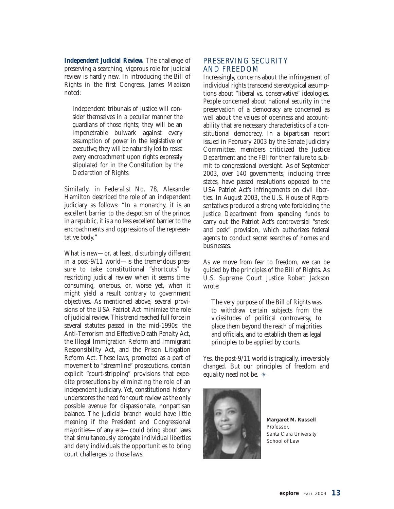**Independent Judicial Review.** The challenge of preserving a searching, vigorous role for judicial review is hardly new. In introducing the Bill of Rights in the first Congress, James Madison noted:

Independent tribunals of justice will consider themselves in a peculiar manner the guardians of those rights; they will be an impenetrable bulwark against every assumption of power in the legislative or executive; they will be naturally led to resist every encroachment upon rights expressly stipulated for in the Constitution by the Declaration of Rights.

Similarly, in Federalist No. 78, Alexander Hamilton described the role of an independent judiciary as follows: "In a monarchy, it is an excellent barrier to the despotism of the prince; in a republic, it is a no less excellent barrier to the encroachments and oppressions of the representative body."

What is new—or, at least, disturbingly different in a post-9/11 world—is the tremendous pressure to take constitutional "shortcuts" by restricting judicial review when it seems timeconsuming, onerous, or, worse yet, when it might yield a result contrary to government objectives. As mentioned above, several provisions of the USA Patriot Act minimize the role of judicial review. This trend reached full force in several statutes passed in the mid-1990s: the Anti-Terrorism and Effective Death Penalty Act, the Illegal Immigration Reform and Immigrant Responsibility Act, and the Prison Litigation Reform Act. These laws, promoted as a part of movement to "streamline" prosecutions, contain explicit "court-stripping" provisions that expedite prosecutions by eliminating the role of an independent judiciary. Yet, constitutional history underscores the need for court review as the only possible avenue for dispassionate, nonpartisan balance. The judicial branch would have little meaning if the President and Congressional majorities—of any era—could bring about laws that simultaneously abrogate individual liberties *and* deny individuals the opportunities to bring court challenges to those laws.

### PRESERVING SECURITY AND FREEDOM

Increasingly, concerns about the infringement of individual rights transcend stereotypical assumptions about "liberal vs. conservative" ideologies. People concerned about national security in the preservation of a democracy are concerned as well about the values of openness and accountability that are necessary characteristics of a constitutional democracy. In a bipartisan report issued in February 2003 by the Senate Judiciary Committee, members criticized the Justice Department and the FBI for their failure to submit to congressional oversight. As of September 2003, over 140 governments, including three states, have passed resolutions opposed to the USA Patriot Act's infringements on civil liberties. In August 2003, the U.S. House of Representatives produced a strong vote forbidding the Justice Department from spending funds to carry out the Patriot Act's controversial "sneak and peek" provision, which authorizes federal agents to conduct secret searches of homes and businesses.

As we move from fear to freedom, we can be guided by the principles of the Bill of Rights. As U.S. Supreme Court Justice Robert Jackson wrote:

The very purpose of the Bill of Rights was to withdraw certain subjects from the vicissitudes of political controversy, to place them beyond the reach of majorities and officials, and to establish them as legal principles to be applied by courts.

Yes, the post-9/11 world is tragically, irreversibly changed. But our principles of freedom and equality need not be.  $*$ 



**Margaret M. Russell** *Professor, Santa Clara University School of Law*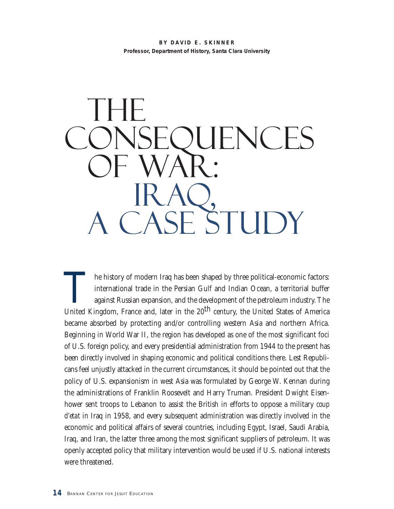# THE. CONSEQUENCES OF WAR: Iraq, a Case Study

The history of modern Iraq has been shaped by three political-economic factors:<br>
international trade in the Persian Gulf and Indian Ocean, a territorial buffer<br>
against Russian expansion, and the development of the petrole international trade in the Persian Gulf and Indian Ocean, a territorial buffer against Russian expansion, and the development of the petroleum industry. The became absorbed by protecting and/or controlling western Asia and northern Africa. Beginning in World War II, the region has developed as one of the most significant foci of U.S. foreign policy, and every presidential administration from 1944 to the present has been directly involved in shaping economic and political conditions there. Lest Republicans feel unjustly attacked in the current circumstances, it should be pointed out that the policy of U.S. expansionism in west Asia was formulated by George W. Kennan during the administrations of Franklin Roosevelt and Harry Truman. President Dwight Eisenhower sent troops to Lebanon to assist the British in efforts to oppose a military *coup d'etat* in Iraq in 1958, and every subsequent administration was directly involved in the economic and political affairs of several countries, including Egypt, Israel, Saudi Arabia, Iraq, and Iran, the latter three among the most significant suppliers of petroleum. It was openly accepted policy that military intervention would be used if U.S. national interests were threatened.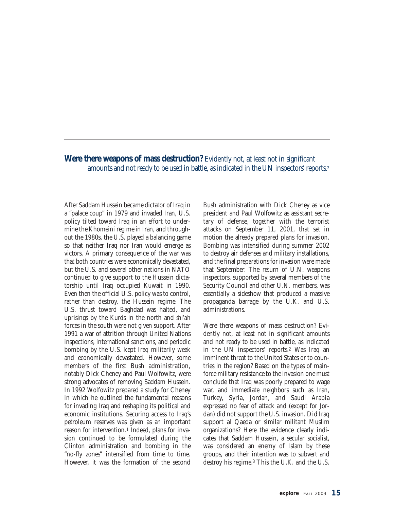### **Were there weapons of mass destruction?** Evidently not, at least not in significant amounts and not ready to be used in battle, as indicated in the UN inspectors' reports.2

After Saddam Hussein became dictator of Iraq in a "palace coup" in 1979 and invaded Iran, U.S. policy tilted toward Iraq in an effort to undermine the Khomeini regime in Iran, and throughout the 1980s, the U.S. played a balancing game so that neither Iraq nor Iran would emerge as victors. A primary consequence of the war was that both countries were economically devastated, but the U.S. and several other nations in NATO continued to give support to the Hussein dictatorship until Iraq occupied Kuwait in 1990. Even then the official U.S. policy was to control, rather than destroy, the Hussein regime. The U.S. thrust toward Baghdad was halted, and uprisings by the Kurds in the north and *shi'ah* forces in the south were not given support. After 1991 a war of attrition through United Nations inspections, international sanctions, and periodic bombing by the U.S. kept Iraq militarily weak and economically devastated. However, some members of the first Bush administration, notably Dick Cheney and Paul Wolfowitz, were strong advocates of removing Saddam Hussein. In 1992 Wolfowitz prepared a study for Cheney in which he outlined the fundamental reasons for invading Iraq and reshaping its political and economic institutions. Securing access to Iraq's petroleum reserves was given as an important reason for intervention.1 Indeed, plans for invasion continued to be formulated during the Clinton administration and bombing in the "no-fly zones" intensified from time to time. However, it was the formation of the second Bush administration with Dick Cheney as vice president and Paul Wolfowitz as assistant secretary of defense, together with the terrorist attacks on September 11, 2001, that set in motion the already prepared plans for invasion. Bombing was intensified during summer 2002 to destroy air defenses and military installations, and the final preparations for invasion were made that September. The return of U.N. weapons inspectors, supported by several members of the Security Council and other U.N. members, was essentially a sideshow that produced a massive propaganda barrage by the U.K. and U.S. administrations.

Were there weapons of mass destruction? Evidently not, at least not in significant amounts and not ready to be used in battle, as indicated in the UN inspectors' reports.2 Was Iraq an imminent threat to the United States or to countries in the region? Based on the types of mainforce military resistance to the invasion one must conclude that Iraq was poorly prepared to wage war, and immediate neighbors such as Iran, Turkey, Syria, Jordan, and Saudi Arabia expressed no fear of attack and (except for Jordan) did not support the U.S. invasion. Did Iraq support al Qaeda or similar militant Muslim organizations? Here the evidence clearly indicates that Saddam Hussein, a secular socialist, was considered an enemy of Islam by these groups, and their intention was to subvert and destroy his regime.3 This the U.K. and the U.S.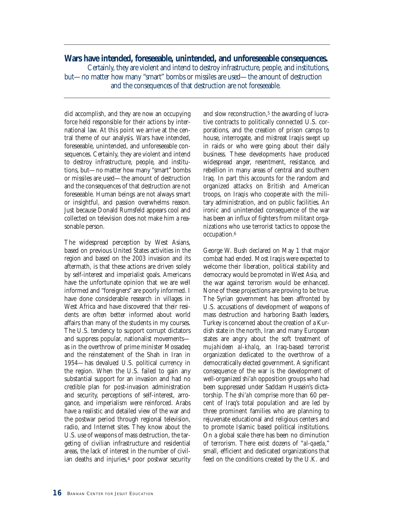### **Wars have intended, foreseeable, unintended, and unforeseeable consequences.**

Certainly, they are violent and intend to destroy infrastructure, people, and institutions, but—no matter how many "smart" bombs or missiles are used—the amount of destruction and the consequences of that destruction are not foreseeable.

did accomplish, and they are now an occupying force held responsible for their actions by international law. At this point we arrive at the central theme of our analysis. Wars have intended, foreseeable, unintended, and unforeseeable consequences. Certainly, they are violent and intend to destroy infrastructure, people, and institutions, but—no matter how many "smart" bombs or missiles are used—the amount of destruction and the consequences of that destruction are not foreseeable. Human beings are not always smart or insightful, and passion overwhelms reason. Just because Donald Rumsfeld appears cool and collected on television does not make him a reasonable person.

The widespread perception by West Asians, based on previous United States activities in the region and based on the 2003 invasion and its aftermath, is that these actions are driven solely by self-interest and imperialist goals. Americans have the unfortunate opinion that we are well informed and "foreigners" are poorly informed. I have done considerable research in villages in West Africa and have discovered that their residents are often better informed about world affairs than many of the students in my courses. The U.S. tendency to support corrupt dictators and suppress popular, nationalist movements as in the overthrow of prime minister Mossadeq and the reinstatement of the Shah in Iran in 1954—has devalued U.S. political currency in the region. When the U.S. failed to gain any substantial support for an invasion and had no credible plan for post-invasion administration and security, perceptions of self-interest, arrogance, and imperialism were reinforced. Arabs have a realistic and detailed view of the war and the postwar period through regional television, radio, and Internet sites. They know about the U.S. use of weapons of mass destruction, the targeting of civilian infrastructure and residential areas, the lack of interest in the number of civilian deaths and injuries,<sup>4</sup> poor postwar security and slow reconstruction,<sup>5</sup> the awarding of lucrative contracts to politically connected U.S. corporations, and the creation of prison camps to house, interrogate, and mistreat Iraqis swept up in raids or who were going about their daily business. These developments have produced widespread anger, resentment, resistance, and rebellion in many areas of central and southern Iraq. In part this accounts for the random and organized attacks on British and American troops, on Iraqis who cooperate with the military administration, and on public facilities. An ironic and unintended consequence of the war has been an influx of fighters from militant organizations who use terrorist tactics to oppose the occupation.6

George W. Bush declared on May 1 that major combat had ended. Most Iraqis were expected to welcome their liberation, political stability and democracy would be promoted in West Asia, and the war against terrorism would be enhanced. None of these projections are proving to be true. The Syrian government has been affronted by U.S. accusations of development of weapons of mass destruction and harboring Baath leaders, Turkey is concerned about the creation of a Kurdish state in the north, Iran and many European states are angry about the soft treatment of *mujahideen al-khalq*, an Iraq-based terrorist organization dedicated to the overthrow of a democratically elected government. A significant consequence of the war is the development of well-organized *shi'ah* opposition groups who had been suppressed under Saddam Hussein's dictatorship. The *shi'ah* comprise more than 60 percent of Iraq's total population and are led by three prominent families who are planning to rejuvenate educational and religious centers and to promote Islamic based political institutions. On a global scale there has been no diminution of terrorism. There exist dozens of "*al-qaeda,*" small, efficient and dedicated organizations that feed on the conditions created by the U.K. and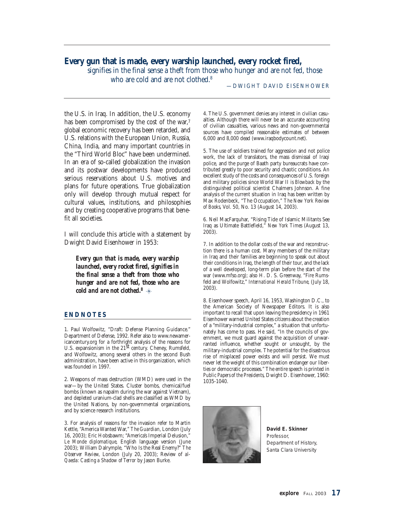### **Every gun that is made, every warship launched, every rocket fired,**

signifies in the final sense a theft from those who hunger and are not fed, those who are cold and are not clothed.<sup>8</sup>

—DWIGHT DAVID EISENHOWER

the U.S. in Iraq. In addition, the U.S. economy has been compromised by the cost of the war,<sup>7</sup> global economic recovery has been retarded, and U.S. relations with the European Union, Russia, China, India, and many important countries in the "Third World Bloc" have been undermined. In an era of so-called globalization the invasion and its postwar developments have produced serious reservations about U.S. motives and plans for future operations. True globalization only will develop through mutual respect for cultural values, institutions, and philosophies and by creating cooperative programs that benefit all societies.

I will conclude this article with a statement by Dwight David Eisenhower in 1953:

*Every gun that is made, every warship launched, every rocket fired, signifies in the final sense a theft from those who hunger and are not fed, those who are cold and are not clothed.8*

### **ENDNOTES**

1. Paul Wolfowitz, "Draft: Defense Planning Guidance." Department of Defense, 1992. Refer also to www.newamericancentury.org for a forthright analysis of the reasons for U.S. expansionism in the 21<sup>st</sup> century. Cheney, Rumsfeld, and Wolfowitz, among several others in the second Bush administration, have been active in this organization, which was founded in 1997.

2. Weapons of mass destruction (WMD) were used in the war—by the United States. Cluster bombs, chemical/fuel bombs (known as napalm during the war against Vietnam), and depleted uranium-clad shells are classified as WMD by the United Nations, by non-governmental organizations, and by science research institutions.

3. For analysis of reasons for the invasion refer to Martin Kettle, "America Wanted War," *The Guardian,* London (July 16, 2003); Eric Hobsbawm; "America's Imperial Delusion," *Le Monde diplomatique*, English language version (June 2003); William Dalrymple, "Who Is the Real Enemy?" *The Observer Review,* London (July 20, 2003); Review of *al-Qaeda: Casting a Shadow of Terror* by Jason Burke.

4. The U.S. government denies any interest in civilian casualties. Although there will never be an accurate accounting of civilian casualties, various news and non-governmental sources have compiled reasonable estimates of between 6,000 and 8,000 dead (www.iraqbodycount.net).

5. The use of soldiers trained for aggression and not police work, the lack of translators, the mass dismissal of Iraqi police, and the purge of Baath party bureaucrats have contributed greatly to poor security and chaotic conditions. An excellent study of the costs and consequences of U.S. foreign and military policies since World War II is *Blowback* by the distinguished political scientist Chalmers Johnson. A fine analysis of the current situation in Iraq has been written by Max Rodenbeck, "The Occupation," *The New York Review of Books*, Vol. 50, No. 13 (August 14, 2003).

6. Neil MacFarquhar, "Rising Tide of Islamic Militants See Iraq as Ultimate Battlefield," *New York Times* (August 13, 2003).

7. In addition to the dollar costs of the war and reconstruction there is a human cost. Many members of the military in Iraq and their families are beginning to speak out about their conditions in Iraq, the length of their tour, and the lack of a well developed, long-term plan before the start of the war (www.mfso.org); also H. D. S. Greenway, "Fire Rumsfeld and Wolfowitz," *International Herald Tribune*, (July 18, 2003).

8. Eisenhower speech, April 16, 1953, Washington D.C., to the American Society of Newspaper Editors. It is also important to recall that upon leaving the presidency in 1961 Eisenhower warned United States citizens about the creation of a "military-industrial complex," a situation that unfortunately has come to pass. He said, "In the councils of government, we must guard against the acquisition of unwarranted influence, whether sought or unsought, by the military-industrial complex. The potential for the disastrous rise of misplaced power exists and will persist. We must never let the weight of this combination endanger our liberties or democratic processes." The entire speech is printed in *Public Papers of the Presidents*, Dwight D. Eisenhower, 1960: 1035-1040.



**David E. Skinner** *Professor, Department of History, Santa Clara University*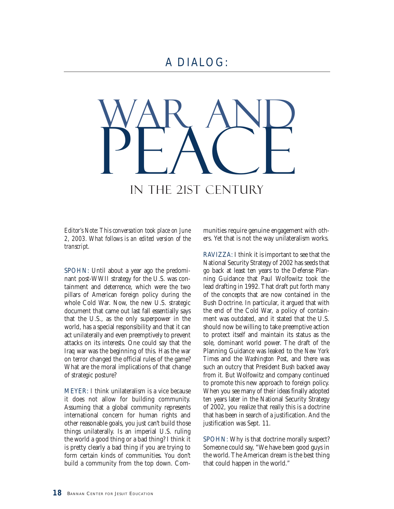### A DIALOG:



*Editor's Note: This conversation took place on June 2, 2003. What follows is an edited version of the transcript.*

SPOHN: Until about a year ago the predominant post-WWII strategy for the U.S. was containment and deterrence, which were the two pillars of American foreign policy during the whole Cold War. Now, the new U.S. strategic document that came out last fall essentially says that the U.S., as the only superpower in the world, has a special responsibility and that it can act unilaterally and even preemptively to prevent attacks on its interests. One could say that the Iraq war was the beginning of this. Has the war on terror changed the official rules of the game? What are the moral implications of that change of strategic posture?

MEYER: I think unilateralism is a vice because it does not allow for building community. Assuming that a global community represents international concern for human rights and other reasonable goals, you just can't build those things unilaterally. Is an imperial U.S. ruling the world a good thing or a bad thing? I think it is pretty clearly a bad thing if you are trying to form certain kinds of communities. You don't build a community from the top down. Communities require genuine engagement with others. Yet that is not the way unilateralism works.

RAVIZZA: I think it is important to see that the National Security Strategy of 2002 has seeds that go back at least ten years to the Defense Planning Guidance that Paul Wolfowitz took the lead drafting in 1992. That draft put forth many of the concepts that are now contained in the Bush Doctrine. In particular, it argued that with the end of the Cold War, a policy of containment was outdated, and it stated that the U.S. should now be willing to take preemptive action to protect itself and maintain its status as the sole, dominant world power. The draft of the Planning Guidance was leaked to the *New York Times* and the *Washington Post*, and there was such an outcry that President Bush backed away from it. But Wolfowitz and company continued to promote this new approach to foreign policy. When you see many of their ideas finally adopted ten years later in the National Security Strategy of 2002, you realize that really this is a doctrine that has been in search of a justification. And the justification was Sept. 11.

SPOHN: Why is that doctrine morally suspect? Someone could say, "We have been good guys in the world. The American dream is the best thing that could happen in the world."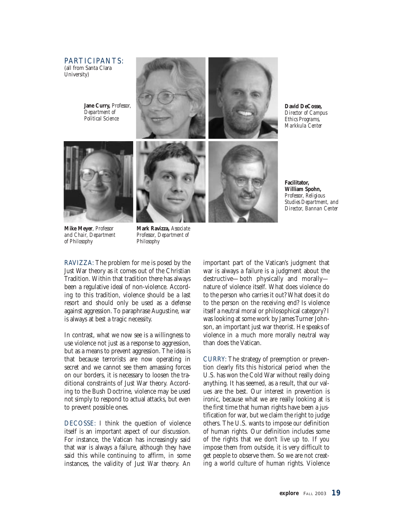PARTICIPANTS: (all from Santa Clara University)

**Jane Curry,** *Professor, Department of Political Science*



**Mike Meyer**, *Professor and Chair, Department of Philosophy*

**Mark Ravizza,** *Associate Professor, Department of Philosophy*

RAVIZZA: The problem for me is posed by the Just War theory as it comes out of the Christian Tradition. Within that tradition there has always been a regulative ideal of non-violence. According to this tradition, violence should be a last resort and should only be used as a defense against aggression. To paraphrase Augustine, war is always at best a tragic necessity.

In contrast, what we now see is a willingness to use violence not just as a response to aggression, but as a means to prevent aggression. The idea is that because terrorists are now operating in secret and we cannot see them amassing forces on our borders, it is necessary to loosen the traditional constraints of Just War theory. According to the Bush Doctrine, violence may be used not simply to respond to actual attacks, but even to prevent possible ones.

DECOSSE: I think the question of violence itself is an important aspect of our discussion. For instance, the Vatican has increasingly said that war is always a failure, although they have said this while continuing to affirm, in some instances, the validity of Just War theory. An important part of the Vatican's judgment that war is always a failure is a judgment about the destructive—both physically and morally nature of violence itself. What does violence do to the person who carries it out? What does it do to the person on the receiving end? Is violence itself a neutral moral or philosophical category? I was looking at some work by James Turner Johnson, an important just war theorist. He speaks of violence in a much more morally neutral way than does the Vatican.

CURRY: The strategy of preemption or prevention clearly fits this historical period when the U.S. has won the Cold War without really doing anything. It has seemed, as a result, that our values are the best. Our interest in prevention is ironic, because what we are really looking at is the first time that human rights have been a justification for war, but we claim the right to judge others. The U.S. wants to impose *our* definition of human rights. Our definition includes some of the rights that we don't live up to. If you impose them from outside, it is very difficult to get people to observe them. So we are not creating a world culture of human rights. Violence

**David DeCosse,** *Director of Campus Ethics Programs, Markkula Center*

**Facilitator, William Spohn,** *Professor, Religious Studies Department, and Director, Bannan Center*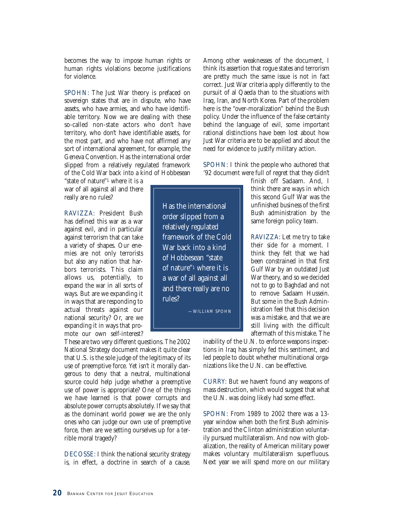becomes the way to impose human rights or human rights violations become justifications for violence.

SPOHN: The Just War theory is prefaced on sovereign states that are in dispute, who have assets, who have armies, and who have identifiable territory. Now we are dealing with these so-called non-state actors who don't have territory, who don't have identifiable assets, for the most part, and who have not affirmed any sort of international agreement, for example, the Geneva Convention. Has the international order slipped from a relatively regulated framework of the Cold War back into a kind of Hobbesean

"state of nature"1 where it is a war of all against all and there really are no rules?

RAVIZZA: President Bush has defined this war as a war against evil, and in particular against terrorism that can take a variety of shapes. Our enemies are not only terrorists but also any nation that harbors terrorists. This claim allows us, potentially, to expand the war in all sorts of ways. But are we expanding it in ways that are responding to actual threats against our national security? Or, are we expanding it in ways that promote our own self-interest?

These are two very different questions. The 2002 National Strategy document makes it quite clear that U.S. is the sole judge of the legitimacy of its use of preemptive force. Yet isn't it morally dangerous to deny that a neutral, multinational source could help judge whether a preemptive use of power is appropriate? One of the things we have learned is that power corrupts and absolute power corrupts absolutely. If we say that as the dominant world power we are the only ones who can judge our own use of preemptive force, then are we setting ourselves up for a terrible moral tragedy?

DECOSSE: I think the national security strategy is, in effect, a doctrine in search of a cause. Among other weaknesses of the document, I think its assertion that rogue states and terrorism are pretty much the same issue is not in fact correct. Just War criteria apply differently to the pursuit of al Qaeda than to the situations with Iraq, Iran, and North Korea. Part of the problem here is the "over-moralization" behind the Bush policy. Under the influence of the false certainty behind the language of evil, some important rational distinctions have been lost about how Just War criteria are to be applied and about the need for evidence to justify military action.

SPOHN: I think the people who authored that '92 document were full of regret that they didn't

> finish off Sadaam. And, I think there are ways in which this second Gulf War was the unfinished business of the first Bush administration by the same foreign policy team.

> RAVIZZA: Let me try to take their side for a moment. I think they felt that we had been constrained in that first Gulf War by an outdated Just War theory, and so we decided not to go to Baghdad and not to remove Sadaam Hussein. But some in the Bush Administration feel that this decision was a mistake, and that we are still living with the difficult aftermath of this mistake. The

inability of the U.N. to enforce weapons inspections in Iraq has simply fed this sentiment, and led people to doubt whether multinational organizations like the U.N. can be effective.

CURRY: But we haven't found any weapons of mass destruction, which would suggest that what the U.N. was doing likely had some effect.

SPOHN: From 1989 to 2002 there was a 13 year window when both the first Bush administration and the Clinton administration voluntarily pursued multilateralism. And now with globalization, the reality of American military power makes voluntary multilateralism superfluous. Next year we will spend more on our military

order slipped from a relatively regulated framework of the Cold War back into a kind of Hobbesean "state of nature"1 where it is a war of all against all and there really are no rules?

Has the international

—WILLIAM SPOHN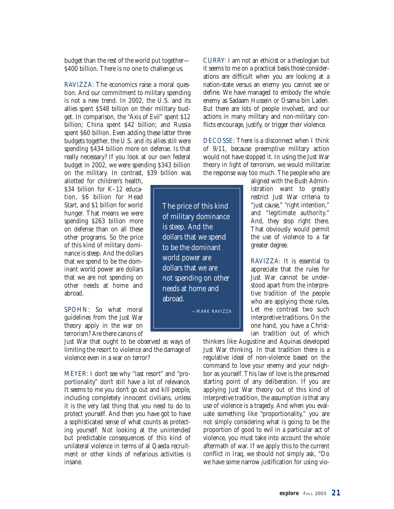budget than the rest of the world put together— \$400 billion. There is no one to challenge us.

RAVIZZA: The economics raise a moral question. And our commitment to military spending is not a new trend. In 2002, the U.S. and its allies spent \$548 billion on their military budget. In comparison, the "Axis of Evil" spent \$12 billion; China spent \$42 billion; and Russia spent \$60 billion. Even adding these latter three budgets together, the U.S. and its allies still were spending \$434 billion more on defense. Is that really necessary? If you look at our own federal budget in 2002, we were spending \$343 billion on the military. In contrast, \$39 billion was

allotted for children's health, \$34 billion for K-12 education, \$6 billion for Head Start, and \$1 billion for world hunger. That means we were spending \$263 billion more on defense than on all these other programs. So the price of this kind of military dominance is steep. And the dollars that we spend to be the dominant world power are dollars that we are not spending on other needs at home and abroad.

SPOHN: So what moral guidelines from the Just War theory apply in the war on terrorism? Are there canons of

Just War that ought to be observed as ways of limiting the resort to violence and the damage of violence even in a war on terror?

MEYER: I don't see why "last resort" and "proportionality" don't still have a lot of relevance. It seems to me you don't go out and kill people, including completely innocent civilians, unless it is the very last thing that you need to do to protect yourself. And then you have got to have a sophisticated sense of what counts as protecting yourself. Not looking at the unintended but predictable consequences of this kind of unilateral violence in terms of al Qaeda recruitment or other kinds of nefarious activities is insane.

CURRY: I am not an ethicist or a theologian but it seems to me on a practical basis those considerations are difficult when you are looking at a nation-state versus an enemy you cannot see or define. We have managed to embody the whole enemy as Sadaam Hussein or Osama bin Laden. But there are lots of people involved, and our actions in many military and non-military conflicts encourage, justify, or trigger their violence.

DECOSSE: There is a disconnect when I think of 9/11, because preemptive military action would not have stopped it. In using the Just War theory in light of terrorism, we would militarize the response way too much. The people who are

> aligned with the Bush Administration want to greatly restrict Just War criteria to "just cause," "right intention," and "legitimate authority." And, they stop right there. That obviously would permit the use of violence to a far greater degree.

> RAVIZZA: It is essential to appreciate that the rules for Just War cannot be understood apart from the interpretive tradition of the people who are applying those rules. Let me contrast two such interpretive traditions. On the one hand, you have a Christian tradition out of which

thinkers like Augustine and Aquinas developed Just War thinking. In that tradition there is a regulative ideal of non-violence based on the command to love your enemy and your neighbor as yourself. This law of love is the presumed starting point of any deliberation. If you are applying Just War theory out of this kind of interpretive tradition, the assumption is that any use of violence is a tragedy. And when you evaluate something like "proportionality," you are not simply considering what is going to be the proportion of good to evil in a particular act of violence, you must take into account the whole aftermath of war. If we apply this to the current conflict in Iraq, we should not simply ask, "Do we have some narrow justification for using vio-

The price of this kind of military dominance is steep. And the dollars that we spend to be the dominant world power are dollars that we are not spending on other needs at home and abroad.

—MARK RAVIZZA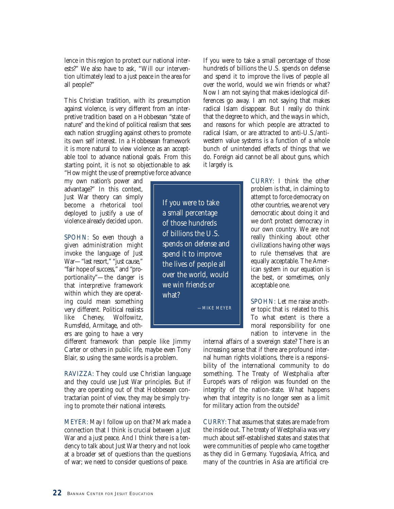lence in this region to protect our national interests?" We also have to ask, "Will our intervention ultimately lead to a just peace in the area for all people?"

This Christian tradition, with its presumption against violence, is very different from an interpretive tradition based on a Hobbesean "state of nature" and the kind of political realism that sees each nation struggling against others to promote its own self interest. In a Hobbesean framework it is more natural to view violence as an acceptable tool to advance national goals. From this starting point, it is not so objectionable to ask "How might the use of preemptive force advance

my own nation's power and advantage?" In this context, Just War theory can simply become a rhetorical tool deployed to justify a use of violence already decided upon.

SPOHN: So even though a given administration might invoke the language of Just War—"last resort," "just cause," "fair hope of success," and "proportionality"—the danger is that interpretive framework within which they are operating could mean something very different. Political realists like Cheney, Wolfowitz, Rumsfeld, Armitage, and others are going to have a very

different framework than people like Jimmy Carter or others in public life, maybe even Tony Blair, so using the same words is a problem.

RAVIZZA: They could use Christian language and they could use Just War principles. But if they are operating out of that Hobbesean contractarian point of view, they may be simply trying to promote their national interests.

MEYER: May I follow up on that? Mark made a connection that I think is crucial between a Just War and a just peace. And I think there is a tendency to talk about Just War theory and not look at a broader set of questions than the questions of war; we need to consider questions of peace.

If you were to take a small percentage of those hundreds of billions the U.S. spends on defense and spend it to improve the lives of people all over the world, would we win friends or what? Now I am not saying that makes ideological differences go away. I am not saying that makes radical Islam disappear. But I really do think that the degree to which, and the ways in which, and reasons for which people are attracted to radical Islam, or are attracted to anti-U.S./antiwestern value systems is a function of a whole bunch of unintended effects of things that we do. Foreign aid cannot be all about guns, which it largely is.

> CURRY: I think the other problem is that, in claiming to attempt to force democracy on other countries, we are not very democratic about doing it and we don't protect democracy in our own country. We are not really thinking about other civilizations having other ways to rule themselves that are equally acceptable. The American system in our equation is the best, or sometimes, only acceptable one.

> SPOHN: Let me raise another topic that is related to this. To what extent is there a moral responsibility for one nation to intervene in the

internal affairs of a sovereign state? There is an increasing sense that if there are profound internal human rights violations, there is a responsibility of the international community to do something. The Treaty of Westphalia after Europe's wars of religion was founded on the integrity of the nation-state. What happens when that integrity is no longer seen as a limit for military action from the outside?

CURRY: That assumes that states are made from the inside out. The treaty of Westphalia was very much about self-established states and states that were communities of people who came together as they did in Germany. Yugoslavia, Africa, and many of the countries in Asia are artificial cre-

22 BANNAN CENTER FOR JESUIT EDUCATION

If you were to take a small percentage of those hundreds of billions the U.S. spends on defense and spend it to improve the lives of people all over the world, would we win friends or what?

—MIKE MEYER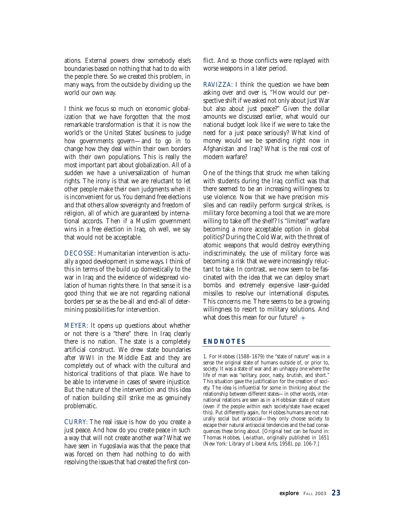ations. External powers drew somebody else's boundaries based on nothing that had to do with the people there. So we created this problem, in many ways, from the outside by dividing up the world our own way.

I think we focus so much on economic globalization that we have forgotten that the most remarkable transformation is that it is now the world's or the United States' business to judge how governments govern—and to go in to change how they deal within their own borders with their own populations. This is really the most important part about globalization. All of a sudden we have a universalization of human rights. The irony is that we are reluctant to let other people make their own judgments when it is inconvenient for us. You demand free elections and that others allow sovereignty and freedom of religion, all of which are guaranteed by international accords. Then if a Muslim government wins in a free election in Iraq, oh well, we say that would not be acceptable.

DECOSSE: Humanitarian intervention is actually a good development in some ways. I think of this in terms of the build up domestically to the war in Iraq and the evidence of widespread violation of human rights there. In that sense it is a good thing that we are not regarding national borders per se as the be-all and end-all of determining possibilities for intervention.

MEYER: It opens up questions about whether or not there is a "there" there. In Iraq clearly there is no nation. The state is a completely artificial construct. We drew state boundaries after WWI in the Middle East and they are completely out of whack with the cultural and historical traditions of that place. We have to be able to intervene in cases of severe injustice. But the nature of the intervention and this idea of nation building still strike me as genuinely problematic.

CURRY: The real issue is how do you create a just peace. And how do you create peace in such a way that will not create another war? What we have seen in Yugoslavia was that the peace that was forced on them had nothing to do with resolving the issues that had created the first conflict. And so those conflicts were replayed with worse weapons in a later period.

RAVIZZA: I think the question we have been asking over and over is, "How would our perspective shift if we asked not only about Just War but also about just peace?" Given the dollar amounts we discussed earlier, what would our national budget look like if we were to take the need for a just peace seriously? What kind of money would we be spending right now in Afghanistan and Iraq? What is the real cost of modern warfare?

One of the things that struck me when talking with students during the Iraq conflict was that there seemed to be an increasing willingness to use violence. Now that we have precision missiles and can readily perform surgical strikes, is military force becoming a tool that we are more willing to take off the shelf? Is "limited" warfare becoming a more acceptable option in global politics? During the Cold War, with the threat of atomic weapons that would destroy everything indiscriminately, the use of military force was becoming a risk that we were increasingly reluctant to take. In contrast, we now seem to be fascinated with the idea that we can deploy smart bombs and extremely expensive laser-guided missiles to resolve our international disputes. This concerns me. There seems to be a growing willingness to resort to military solutions. And what does this mean for our future?  $*$ 

### **ENDNOTES**

1. For Hobbes (1588–1679) the "state of nature" was in a sense the original state of humans outside of, or prior to, society. It was a state of war and an unhappy one where the life of man was "solitary, poor, nasty, brutish, and short." This situation gave the justification for the creation of society. The idea is influential for some in thinking about the relationship between different states—in other words, international relations are seen as in a Hobbsian state of nature (even if the people within each society/state have escaped this). Put differently again, for Hobbes humans are not naturally social but antisocial—they only choose society to escape their natural antisocial tendencies and the bad consequences these bring about. [Original text can be found in: Thomas Hobbes, *Leviathan*, originally published in 1651 (New York: Library of Liberal Arts, 1958), pp. 106-7.]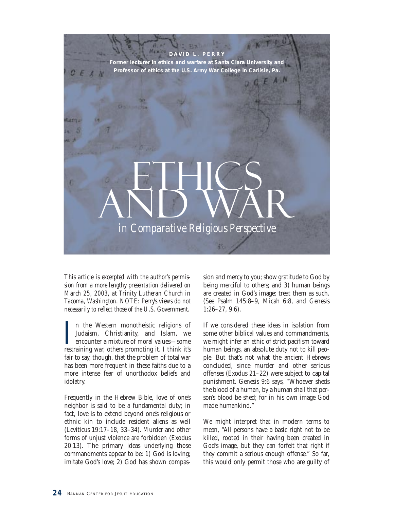

*This article is excerpted with the author's permission from a more lengthy presentation delivered on March 25, 2003, at Trinity Lutheran Church in Tacoma, Washington. NOTE: Perry's views do not necessarily to reflect those of the U.S. Government.*

In the Western monotheistic religions of Judaism, Christianity, and Islam, we encounter a mixture of moral values—some restraining war, others promoting it. I think it's n the Western monotheistic religions of Judaism, Christianity, and Islam, we encounter a mixture of moral values—some fair to say, though, that the problem of total war has been more frequent in these faiths due to a more intense fear of unorthodox beliefs and idolatry.

Frequently in the Hebrew Bible, love of one's neighbor is said to be a fundamental duty; in fact, love is to extend beyond one's religious or ethnic kin to include resident aliens as well (Leviticus 19:17–18, 33–34). Murder and other forms of unjust violence are forbidden (Exodus 20:13). The primary ideas underlying those commandments appear to be: 1) God is loving; imitate God's love; 2) God has shown compassion and mercy to you; show gratitude to God by being merciful to others; and 3) human beings are created in God's image; treat them as such. (See Psalm 145:8–9, Micah 6:8, and Genesis 1:26–27, 9:6).

If we considered these ideas in isolation from some other biblical values and commandments, we might infer an ethic of strict pacifism toward human beings, an absolute duty not to kill people. But that's not what the ancient Hebrews concluded, since murder and other serious offenses (Exodus 21–22) were subject to capital punishment. Genesis 9:6 says, "Whoever sheds the blood of a human, by a human shall that person's blood be shed; for in his own image God made humankind."

We might interpret that in modern terms to mean, "All persons have a basic right not to be killed, rooted in their having been created in God's image, but they can forfeit that right if they commit a serious enough offense." So far, this would only permit those who are guilty of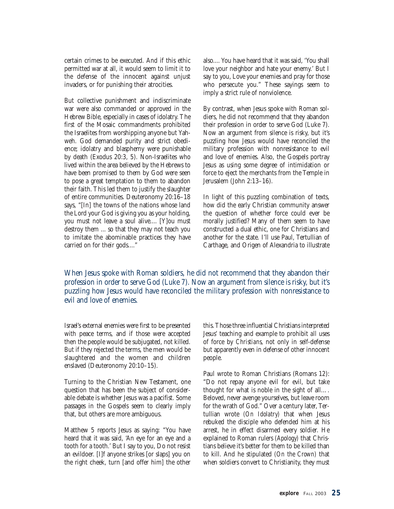certain crimes to be executed. And if this ethic permitted war at all, it would seem to limit it to the defense of the innocent against unjust invaders, or for punishing their atrocities.

But collective punishment and indiscriminate war were also commanded or approved in the Hebrew Bible, especially in cases of idolatry. The first of the Mosaic commandments prohibited the Israelites from worshipping anyone but Yahweh. God demanded purity and strict obedience; idolatry and blasphemy were punishable by death (Exodus 20:3, 5). Non-Israelites who lived within the area believed by the Hebrews to have been promised to them by God were seen to pose a great temptation to them to abandon their faith. This led them to justify the slaughter of entire communities. Deuteronomy 20:16–18 says, "[In] the towns of the nations whose land the Lord your God is giving you as your holding, you must not leave a soul alive.... [Y]ou must destroy them ... so that they may not teach you to imitate the abominable practices they have carried on for their gods...."

also.... You have heard that it was said, 'You shall love your neighbor and hate your enemy.' But I say to you, Love your enemies and pray for those who persecute you." These sayings seem to imply a strict rule of nonviolence.

By contrast, when Jesus spoke with Roman soldiers, he did not recommend that they abandon their profession in order to serve God (Luke 7). Now an argument from silence is risky, but it's puzzling how Jesus would have reconciled the military profession with nonresistance to evil and love of enemies. Also, the Gospels portray Jesus as using some degree of intimidation or force to eject the merchants from the Temple in Jerusalem (John 2:13–16).

In light of this puzzling combination of texts, how did the early Christian community answer the question of whether force could ever be morally justified? Many of them seem to have constructed a dual ethic, one for Christians and another for the state. I'll use Paul, Tertullian of Carthage, and Origen of Alexandria to illustrate

When Jesus spoke with Roman soldiers, he did not recommend that they abandon their profession in order to serve God (Luke 7). Now an argument from silence is risky, but it's puzzling how Jesus would have reconciled the military profession with nonresistance to evil and love of enemies.

Israel's external enemies were first to be presented with peace terms, and if those were accepted then the people would be subjugated, not killed. But if they rejected the terms, the men would be slaughtered and the women and children enslaved (Deuteronomy 20:10–15).

Turning to the Christian New Testament, one question that has been the subject of considerable debate is whether Jesus was a pacifist. Some passages in the Gospels seem to clearly imply that, but others are more ambiguous.

Matthew 5 reports Jesus as saying: "You have heard that it was said, 'An eye for an eye and a tooth for a tooth.' But I say to you, Do not resist an evildoer. [I]f anyone strikes [or slaps] you on the right cheek, turn [and offer him] the other this. Those three influential Christians interpreted Jesus' teaching and example to prohibit *all* uses of force by *Christians*, not only in self-defense but apparently even in defense of other innocent people.

Paul wrote to Roman Christians (Romans 12): "Do not repay anyone evil for evil, but take thought for what is noble in the sight of all…. Beloved, never avenge yourselves, but leave room for the wrath of God." Over a century later, Tertullian wrote *(On Idolatry)* that when Jesus rebuked the disciple who defended him at his arrest, he in effect disarmed every soldier. He explained to Roman rulers *(Apology)* that Christians believe it's better for them to be killed than to kill. And he stipulated *(On the Crown)* that when soldiers convert to Christianity, they must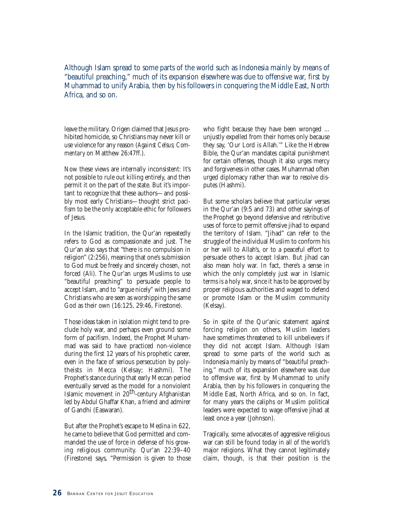Although Islam spread to some parts of the world such as Indonesia mainly by means of "beautiful preaching," much of its expansion elsewhere was due to offensive war, first by Muhammad to unify Arabia, then by his followers in conquering the Middle East, North Africa, and so on.

leave the military. Origen claimed that Jesus prohibited homicide, so Christians may never kill or use violence for any reason (*Against Celsus; Commentary* on Matthew 26:47ff.).

Now these views are internally inconsistent: It's not possible to rule out killing entirely, and then permit it on the part of the state. But it's important to recognize that these authors—and possibly most early Christians—thought strict pacifism to be the only acceptable ethic for followers of Jesus.

In the Islamic tradition, the Qur'an repeatedly refers to God as compassionate and just. The Qur'an also says that "there is no compulsion in religion" (2:256), meaning that one's submission to God must be freely and sincerely chosen, not forced (Ali). The Qur'an urges Muslims to use "beautiful preaching" to persuade people to accept Islam, and to "argue nicely" with Jews and Christians who are seen as worshipping the same God as their own (16:125, 29:46, Firestone).

Those ideas taken in isolation might tend to preclude holy war, and perhaps even ground some form of pacifism. Indeed, the Prophet Muhammad was said to have practiced non-violence during the first 12 years of his prophetic career, even in the face of serious persecution by polytheists in Mecca (Kelsay; Hashmi). The Prophet's stance during that early Meccan period eventually served as the model for a nonviolent Islamic movement in  $20<sup>th</sup>$ -century Afghanistan led by Abdul Ghaffar Khan, a friend and admirer of Gandhi (Easwaran).

But after the Prophet's escape to Medina in 622, he came to believe that God permitted and commanded the use of force in defense of his growing religious community. Qur'an 22:39–40 (Firestone) says, "Permission is given to those who fight because they have been wronged ... unjustly expelled from their homes only because they say, 'Our Lord is Allah.'" Like the Hebrew Bible, the Qur'an mandates capital punishment for certain offenses, though it also urges mercy and forgiveness in other cases. Muhammad often urged diplomacy rather than war to resolve disputes (Hashmi).

But some scholars believe that particular verses in the Qur'an (9:5 and 73) and other sayings of the Prophet go beyond defensive and retributive uses of force to permit offensive jihad to expand the territory of Islam. "Jihad" can refer to the struggle of the individual Muslim to conform his or her will to Allah's, or to a peaceful effort to persuade others to accept Islam. But jihad can also mean holy war. In fact, there's a sense in which the only completely just war in Islamic terms is a holy war, since it has to be approved by proper religious authorities and waged to defend or promote Islam or the Muslim community (Kelsay).

So in spite of the Qur'anic statement against forcing religion on others, Muslim leaders have sometimes threatened to kill unbelievers if they did not accept Islam. Although Islam spread to some parts of the world such as Indonesia mainly by means of "beautiful preaching," much of its expansion elsewhere was due to offensive war, first by Muhammad to unify Arabia, then by his followers in conquering the Middle East, North Africa, and so on. In fact, for many years the caliphs or Muslim political leaders were expected to wage offensive jihad at least once a year (Johnson).

Tragically, some advocates of aggressive religious war can still be found today in all of the world's major religions. What they cannot legitimately claim, though, is that their position is *the*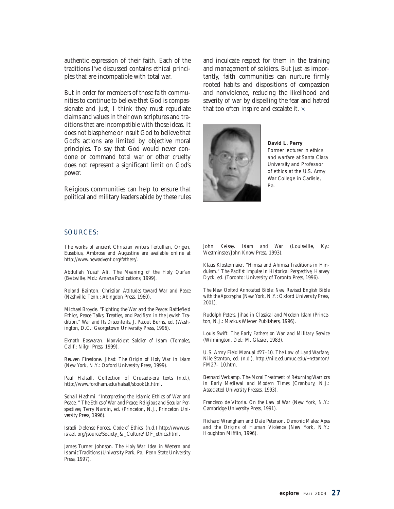authentic expression of their faith. Each of the traditions I've discussed contains ethical principles that are incompatible with total war.

But in order for members of those faith communities to continue to believe that God is compassionate and just, I think they must repudiate claims and values in their own scriptures and traditions that are incompatible with those ideas. It does not blaspheme or insult God to believe that God's actions are limited by objective moral principles. To say that God would never condone or command total war or other cruelty does not represent a significant limit on God's power.

Religious communities can help to ensure that political and military leaders abide by these rules and inculcate respect for them in the training and management of soldiers. But just as importantly, faith communities can nurture firmly rooted habits and dispositions of compassion and nonviolence, reducing the likelihood and severity of war by dispelling the fear and hatred that too often inspire and escalate it.  $*$ 



**David L. Perry** *Former lecturer in ethics and warfare at Santa Clara University and Professor of ethics at the U.S. Army War College in Carlisle, Pa.* 

#### SOURCES:

The works of ancient Christian writers Tertullian, Origen, Eusebius, Ambrose and Augustine are available online at http://www.newadvent.org/fathers/.

Abdullah Yusuf Ali. *The Meaning of the Holy Qur'an* (Beltsville, Md.: Amana Publications, 1999).

Roland Bainton. *Christian Attitudes toward War and Peace* (Nashville, Tenn.: Abingdon Press, 1960).

Michael Broyde. "Fighting the War and the Peace: Battlefield Ethics, Peace Talks, Treaties, and Pacifism in the Jewish Tradition." *War and Its Discontents,* J. Patout Burns, ed. (Washington, D.C.: Georgetown University Press, 1996).

Eknath Easwaran. *Nonviolent Soldier of Islam* (Tomales, Calif.: Nilgri Press, 1999).

Reuven Firestone. *Jihad: The Origin of Holy War in Islam* (New York, N.Y.: Oxford University Press, 1999).

Paul Halsall. Collection of Crusade-era texts (n.d.), http://www.fordham.edu/halsall/sbook1k.html.

Sohail Hashmi. "Interpreting the Islamic Ethics of War and Peace. " *The Ethics of War and Peace: Religious and Secular Perspectives,* Terry Nardin, ed. (Princeton, N.J., Princeton University Press, 1996).

Israeli Defense Forces. *Code of Ethics,* (n.d.) http://www.usisrael. org/jsource/Society\_&\_Culture/IDF\_ethics.html.

James Turner Johnson. *The Holy War Idea in Western and Islamic Traditions* (University Park, Pa.: Penn State University Press, 1997).

John Kelsay. *Islam and War* (Louisville, Ky.: Westminster/John Know Press, 1993).

Klaus Klostermaier. "Himsa and Ahimsa Traditions in Hinduism." *The Pacifist Impulse in Historical Perspective*, Harvey Dyck, ed. (Toronto: University of Toronto Press, 1996).

*The New Oxford Annotated Bible: New Revised English Bible with the Apocrypha* (New York, N.Y.: Oxford University Press, 2001).

Rudolph Peters. *Jihad in Classical and Modern Islam* (Princeton, N.J.: Markus Wiener Publishers, 1996).

Louis Swift. *The Early Fathers on War and Military Service* (Wilmington, Del.: M. Glasier, 1983).

U.S. Army Field Manual #27–10. *The Law of Land Warfare*, Nile Stanton, ed. (n.d.), http://nile.ed.umuc.edu/~nstanton/ FM27– 10.htm.

Bernard Verkamp. *The Moral Treatment of Returning Warriors in Early Medieval and Modern Times* (Cranbury, N.J.: Associated University Presses, 1993).

Francisco de Vitoria. *On the Law of War* (New York, N.Y.: Cambridge University Press, 1991).

Richard Wrangham and Dale Peterson. *Demonic Males: Apes and the Origins of Human Violence* (New York, N.Y.: Houghton Mifflin, 1996).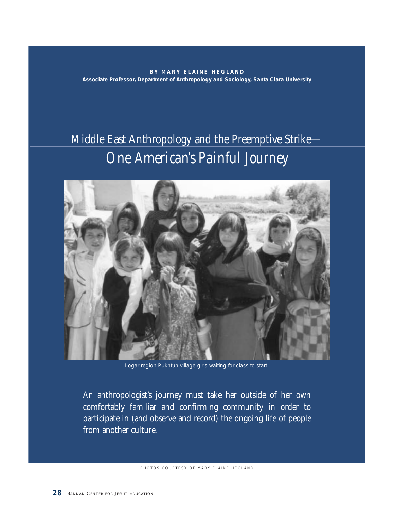**BY MARY ELAINE HEGLAND Associate Professor, Department of Anthropology and Sociology, Santa Clara University**

### Middle East Anthropology and the Preemptive Strike— *One American's Painful Journey*



Logar region Pukhtun village girls waiting for class to start.

An anthropologist's journey must take her outside of her own comfortably familiar and confirming community in order to participate in (and observe and record) the ongoing life of people from another culture.

PHOTOS COURTESY OF MARY ELAINE HEGLAND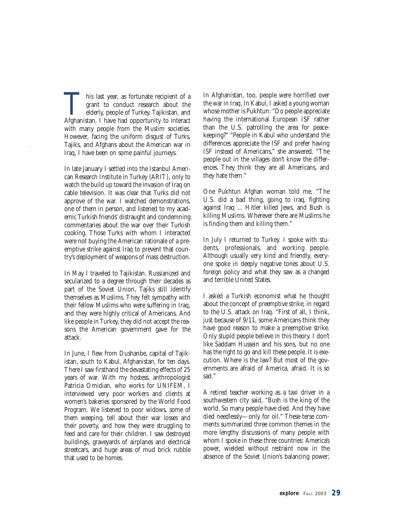This last year, as fortunate recipient of a grant to conduct research about the elderly, people of Turkey, Tajikistan, and Afghanistan, I have had opportunity to interact grant to conduct research about the elderly, people of Turkey, Tajikistan, and with many people from the Muslim societies. However, facing the uniform disgust of Turks, Tajiks, and Afghans about the American war in Iraq, I have been on some painful journeys.

In late January I settled into the Istanbul American Research Institute in Turkey (ARIT), only to watch the build up toward the invasion of Iraq on cable television. It was clear that Turks did not approve of the war. I watched demonstrations, one of them in person, and listened to my academic Turkish friends' distraught and condemning commentaries about the war over their Turkish cooking. Those Turks with whom I interacted were not buying the American rationale of a preemptive strike against Iraq to prevent that country's deployment of weapons of mass destruction.

In May I traveled to Tajikistan. Russianized and secularized to a degree through their decades as part of the Soviet Union, Tajiks still identify themselves as Muslims. They felt sympathy with their fellow Muslims who were suffering in Iraq, and they were highly critical of Americans. And like people in Turkey, they did not accept the reasons the American government gave for the attack.

In June, I flew from Dushanbe, capital of Tajikistan, south to Kabul, Afghanistan, for ten days. There I saw firsthand the devastating effects of 25 years of war. With my hostess, anthropologist Patricia Omidian, who works for UNIFEM, I interviewed very poor workers and clients at women's bakeries sponsored by the World Food Program. We listened to poor widows, some of them weeping, tell about their war losses and their poverty, and how they were struggling to feed and care for their children. I saw destroyed buildings, graveyards of airplanes and electrical streetcars, and huge areas of mud brick rubble that used to be homes.

In Afghanistan, too, people were horrified over the war in Iraq. In Kabul, I asked a young woman whose mother is Pukhtun: "Do people appreciate having the international European ISF rather than the U.S. patrolling the area for peacekeeping?" "People in Kabul who understand the differences appreciate the ISF and prefer having ISF instead of Americans," she answered. "The people out in the villages don't know the differences. They think they are all Americans, and they hate them."

One Pukhtun Afghan woman told me, "The U.S. did a bad thing, going to Iraq, fighting against Iraq ... Hitler killed Jews, and Bush is killing Muslims. Wherever there are Muslims he is finding them and killing them."

In July I returned to Turkey. I spoke with students, professionals, and working people. Although usually very kind and friendly, everyone spoke in deeply negative tones about U.S. foreign policy and what they saw as a changed and terrible United States.

I asked a Turkish economist what he thought about the concept of preemptive strike, in regard to the U.S. attack on Iraq. "First of all, I think, just because of 9/11, some Americans think they have good reason to make a preemptive strike. Only stupid people believe in this theory. I don't like Saddam Hussein and his sons, but no one has the right to go and kill these people. It is execution. Where is the law? But most of the governments are afraid of America, afraid. It is so sad."

A retired teacher working as a taxi driver in a southwestern city said, "Bush is the king of the world. So many people have died. And they have died needlessly—only for oil." These terse comments summarized three common themes in the more lengthy discussions of many people with whom I spoke in these three countries: America's power, wielded without restraint now in the absence of the Soviet Union's balancing power;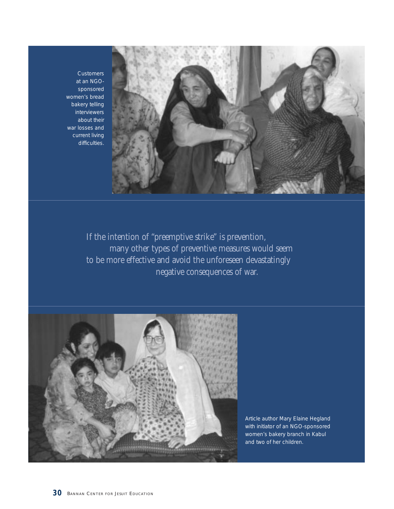**Customers** at an NGOsponsored women's bread bakery telling interviewers about their war losses and current living difficulties.



If the intention of "preemptive strike" is prevention, many other types of preventive measures would seem to be more effective and avoid the unforeseen devastatingly negative consequences of war.



Article author Mary Elaine Hegland with initiator of an NGO-sponsored women's bakery branch in Kabul and two of her children.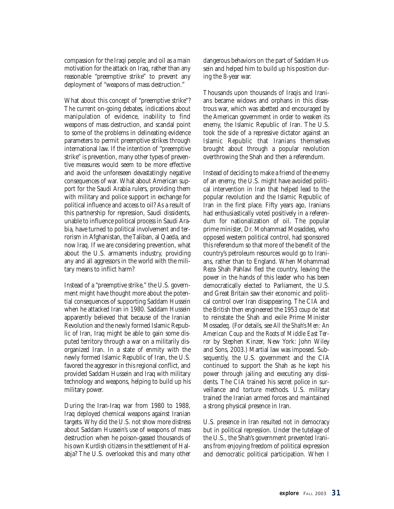compassion for the Iraqi people; and oil as a main motivation for the attack on Iraq, rather than any reasonable "preemptive strike" to prevent any deployment of "weapons of mass destruction."

What about this concept of "preemptive strike"? The current on-going debates, indications about manipulation of evidence, inability to find weapons of mass destruction, and scandal point to some of the problems in delineating evidence parameters to permit preemptive strikes through international law. If the intention of "preemptive strike" is prevention, many other types of preventive measures would seem to be more effective and avoid the unforeseen devastatingly negative consequences of war. What about American support for the Saudi Arabia rulers, providing them with military and police support in exchange for political influence and access to oil? As a result of this partnership for repression, Saudi dissidents, unable to influence political process in Saudi Arabia, have turned to political involvement and terrorism in Afghanistan, the Taliban, al Qaeda, and now Iraq. If we are considering prevention, what about the U.S. armaments industry, providing any and all aggressors in the world with the military means to inflict harm?

Instead of a "preemptive strike," the U.S. government might have thought more about the potential consequences of supporting Saddam Hussein when he attacked Iran in 1980. Saddam Hussein apparently believed that because of the Iranian Revolution and the newly formed Islamic Republic of Iran, Iraq might be able to gain some disputed territory through a war on a militarily disorganized Iran. In a state of enmity with the newly formed Islamic Republic of Iran, the U.S. favored the aggressor in this regional conflict, and provided Saddam Hussein and Iraq with military technology and weapons, helping to build up his military power.

During the Iran-Iraq war from 1980 to 1988, Iraq deployed chemical weapons against Iranian targets. Why did the U.S. not show more distress about Saddam Hussein's use of weapons of mass destruction when he poison-gassed thousands of his own Kurdish citizens in the settlement of Halabja? The U.S. overlooked this and many other dangerous behaviors on the part of Saddam Hussein and helped him to build up his position during the 8-year war.

Thousands upon thousands of Iraqis and Iranians became widows and orphans in this disastrous war, which was abetted and encouraged by the American government in order to weaken its enemy, the Islamic Republic of Iran. The U.S. took the side of a repressive dictator against an Islamic Republic that Iranians themselves brought about through a popular revolution overthrowing the Shah and then a referendum.

Instead of deciding to make a friend of the enemy of an enemy, the U.S. might have avoided political intervention in Iran that helped lead to the popular revolution and the Islamic Republic of Iran in the first place. Fifty years ago, Iranians had enthusiastically voted positively in a referendum for nationalization of oil. The popular prime minister, Dr. Mohammad Mosaddeq, who opposed western political control, had sponsored this referendum so that more of the benefit of the country's petroleum resources would go to Iranians, rather than to England. When Mohammad Reza Shah Pahlavi fled the country, leaving the power in the hands of this leader who has been democratically elected to Parliament, the U.S. and Great Britain saw their economic and political control over Iran disappearing. The CIA and the British then engineered the 1953 *coup de 'etat* to reinstate the Shah and exile Prime Minister Mossadeq. (For details, see *All the Shah's Men: An American Coup and the Roots of Middle East Terror* by Stephen Kinzer, New York: John Wiley and Sons, 2003.) Martial law was imposed. Subsequently, the U.S. government and the CIA continued to support the Shah as he kept his power through jailing and executing any dissidents. The CIA trained his secret police in surveillance and torture methods. U.S. military trained the Iranian armed forces and maintained a strong physical presence in Iran.

U.S. presence in Iran resulted not in democracy but in political repression. Under the tutelage of the U.S., the Shah's government prevented Iranians from enjoying freedom of political expression and democratic political participation. When I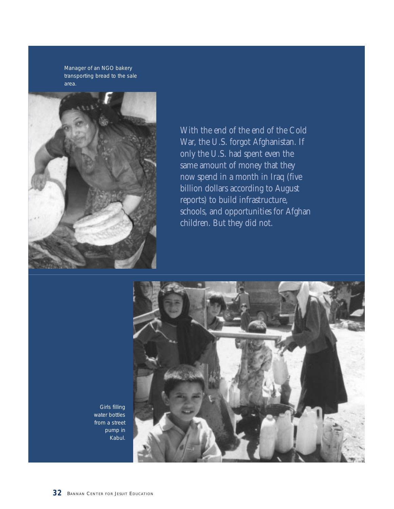Manager of an NGO bakery transporting bread to the sale area.



With the end of the end of the Cold War, the U.S. forgot Afghanistan. If only the U.S. had spent even the same amount of money that they now spend in a month in Iraq (five billion dollars according to August reports) to build infrastructure, schools, and opportunities for Afghan children. But they did not.



Girls filling water bottles from a street pump in Kabul.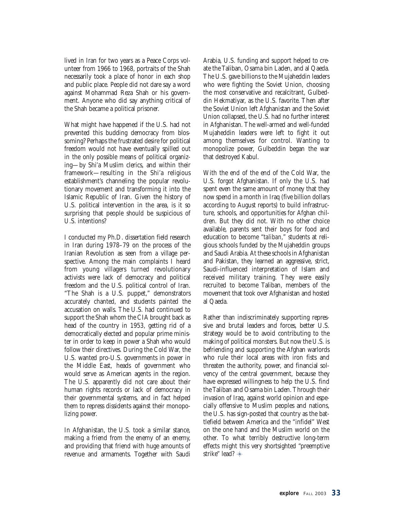lived in Iran for two years as a Peace Corps volunteer from 1966 to 1968, portraits of the Shah necessarily took a place of honor in each shop and public place. People did not dare say a word against Mohammad Reza Shah or his government. Anyone who did say anything critical of the Shah became a political prisoner.

What might have happened if the U.S. had not prevented this budding democracy from blossoming? Perhaps the frustrated desire for political freedom would not have eventually spilled out in the only possible means of political organizing—by Shi'a Muslim clerics, and within their framework—resulting in the Shi'a religious establishment's channeling the popular revolutionary movement and transforming it into the Islamic Republic of Iran. Given the history of U.S. political intervention in the area, is it so surprising that people should be suspicious of U.S. intentions?

I conducted my Ph.D. dissertation field research in Iran during 1978–79 on the process of the Iranian Revolution as seen from a village perspective. Among the main complaints I heard from young villagers turned revolutionary activists were lack of democracy and political freedom and the U.S. political control of Iran. "The Shah is a U.S. puppet," demonstrators accurately chanted, and students painted the accusation on walls. The U.S. had continued to support the Shah whom the CIA brought back as head of the country in 1953, getting rid of a democratically elected and popular prime minister in order to keep in power a Shah who would follow their directives. During the Cold War, the U.S. wanted pro-U.S. governments in power in the Middle East, heads of government who would serve as American agents in the region. The U.S. apparently did not care about their human rights records or lack of democracy in their governmental systems, and in fact helped them to repress dissidents against their monopolizing power.

In Afghanistan, the U.S. took a similar stance, making a friend from the enemy of an enemy, and providing that friend with huge amounts of revenue and armaments. Together with Saudi Arabia, U.S. funding and support helped to create the Taliban, Osama bin Laden, and al Qaeda. The U.S. gave billions to the Mujaheddin leaders who were fighting the Soviet Union, choosing the most conservative and recalcitrant, Gulbeddin Hekmatiyar, as the U.S. favorite. Then after the Soviet Union left Afghanistan and the Soviet Union collapsed, the U.S. had no further interest in Afghanistan. The well-armed and well-funded Mujaheddin leaders were left to fight it out among themselves for control. Wanting to monopolize power, Gulbeddin began the war that destroyed Kabul.

With the end of the end of the Cold War, the U.S. forgot Afghanistan. If only the U.S. had spent even the same amount of money that they now spend in a month in Iraq (five billion dollars according to August reports) to build infrastructure, schools, and opportunities for Afghan children. But they did not. With no other choice available, parents sent their boys for food and education to become "*taliban,*" students at religious schools funded by the Mujaheddin groups and Saudi Arabia. At these schools in Afghanistan and Pakistan, they learned an aggressive, strict, Saudi-influenced interpretation of Islam and received military training. They were easily recruited to become Taliban, members of the movement that took over Afghanistan and hosted al Qaeda.

Rather than indiscriminately supporting repressive and brutal leaders and forces, better U.S. strategy would be to avoid contributing to the making of political monsters. But now the U.S. is befriending and supporting the Afghan warlords who rule their local areas with iron fists and threaten the authority, power, and financial solvency of the central government, because they have expressed willingness to help the U.S. find the Taliban and Osama bin Laden. Through their invasion of Iraq, against world opinion and especially offensive to Muslim peoples and nations, the U.S. has sign-posted that country as the battlefield between America and the "infidel" West on the one hand and the Muslim world on the other. To what terribly destructive long-term effects might this very shortsighted "preemptive strike" lead?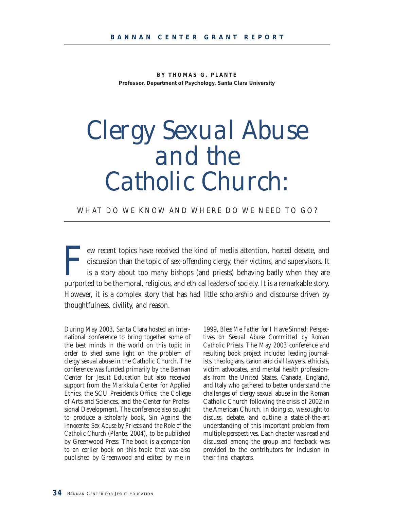**BY THOMAS G. PLANTE Professor, Department of Psychology, Santa Clara University**

## *Clergy Sexual Abuse and the Catholic Church:*

### WHAT DO WE KNOW AND WHERE DO WE NEED TO GO?

Few recent topics have received the kind of media attention, heated debate, and discussion than the topic of sex-offending clergy, their victims, and supervisors. It is a story about too many bishops (and priests) behaving discussion than the topic of sex-offending clergy, their victims, and supervisors. It is a story about too many bishops (and priests) behaving badly when they are purported to be the moral, religious, and ethical leaders of society. It is a remarkable story. However, it is a complex story that has had little scholarship and discourse driven by thoughtfulness, civility, and reason.

During May 2003, Santa Clara hosted an international conference to bring together some of the best minds in the world on this topic in order to shed some light on the problem of clergy sexual abuse in the Catholic Church. The conference was funded primarily by the Bannan Center for Jesuit Education but also received support from the Markkula Center for Applied Ethics, the SCU President's Office, the College of Arts and Sciences, and the Center for Professional Development. The conference also sought to produce a scholarly book, *Sin Against the Innocents: Sex Abuse by Priests and the Role of the Catholic Church* (Plante, 2004), to be published by Greenwood Press. The book is a companion to an earlier book on this topic that was also published by Greenwood and edited by me in

1999, *Bless Me Father for I Have Sinned: Perspectives on Sexual Abuse Committed by Roman Catholic Priests.* The May 2003 conference and resulting book project included leading journalists, theologians, canon and civil lawyers, ethicists, victim advocates, and mental health professionals from the United States, Canada, England, and Italy who gathered to better understand the challenges of clergy sexual abuse in the Roman Catholic Church following the crisis of 2002 in the American Church. In doing so, we sought to discuss, debate, and outline a state-of-the-art understanding of this important problem from multiple perspectives. Each chapter was read and discussed among the group and feedback was provided to the contributors for inclusion in their final chapters.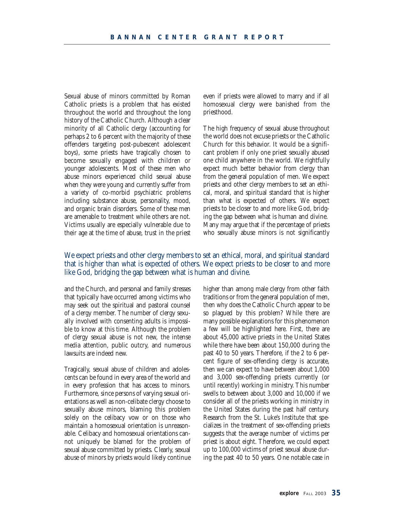Sexual abuse of minors committed by Roman Catholic priests is a problem that has existed throughout the world and throughout the long history of the Catholic Church. Although a clear minority of all Catholic clergy (accounting for perhaps 2 to 6 percent with the majority of these offenders targeting post-pubescent adolescent boys), some priests have tragically chosen to become sexually engaged with children or younger adolescents. Most of these men who abuse minors experienced child sexual abuse when they were young and currently suffer from a variety of co-morbid psychiatric problems including substance abuse, personality, mood, and organic brain disorders. Some of these men are amenable to treatment while others are not. Victims usually are especially vulnerable due to their age at the time of abuse, trust in the priest even if priests were allowed to marry and if all homosexual clergy were banished from the priesthood.

The high frequency of sexual abuse throughout the world does not excuse priests or the Catholic Church for this behavior. It would be a significant problem if only one priest sexually abused one child anywhere in the world. We rightfully expect much better behavior from clergy than from the general population of men. We expect priests and other clergy members to set an ethical, moral, and spiritual standard that is higher than what is expected of others. We expect priests to be closer to and more like God, bridging the gap between what is human and divine. Many may argue that if the percentage of priests who sexually abuse minors is not significantly

### We expect priests and other clergy members to set an ethical, moral, and spiritual standard that is higher than what is expected of others. We expect priests to be closer to and more like God, bridging the gap between what is human and divine.

and the Church, and personal and family stresses that typically have occurred among victims who may seek out the spiritual and pastoral counsel of a clergy member. The number of clergy sexually involved with consenting adults is impossible to know at this time. Although the problem of clergy sexual abuse is not new, the intense media attention, public outcry, and numerous lawsuits are indeed new.

Tragically, sexual abuse of children and adolescents can be found in every area of the world and in every profession that has access to minors. Furthermore, since persons of varying sexual orientations as well as non-celibate clergy choose to sexually abuse minors, blaming this problem solely on the celibacy vow or on those who maintain a homosexual orientation is unreasonable. Celibacy and homosexual orientations cannot uniquely be blamed for the problem of sexual abuse committed by priests. Clearly, sexual abuse of minors by priests would likely continue higher than among male clergy from other faith traditions or from the general population of men, then why does the Catholic Church appear to be so plagued by this problem? While there are many possible explanations for this phenomenon a few will be highlighted here. First, there are about 45,000 active priests in the United States while there have been about 150,000 during the past 40 to 50 years. Therefore, if the 2 to 6 percent figure of sex-offending clergy is accurate, then we can expect to have between about 1,000 and 3,000 sex-offending priests currently (or until recently) working in ministry. This number swells to between about 3,000 and 10,000 if we consider all of the priests working in ministry in the United States during the past half century. Research from the St. Luke's Institute that specializes in the treatment of sex-offending priests suggests that the average number of victims per priest is about eight. Therefore, we could expect up to 100,000 victims of priest sexual abuse during the past 40 to 50 years. One notable case in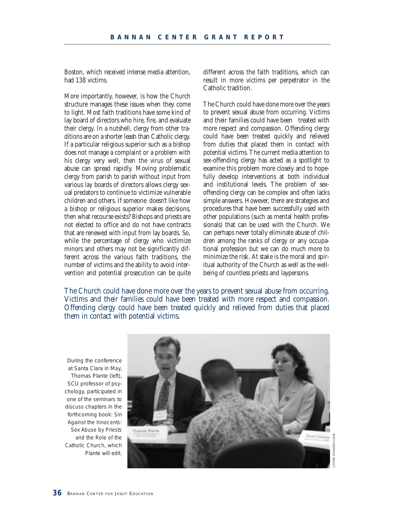Boston, which received intense media attention, had 138 victims.

More importantly, however, is how the Church structure manages these issues when they come to light. Most faith traditions have some kind of lay board of directors who hire, fire, and evaluate their clergy. In a nutshell, clergy from other traditions are on a shorter leash than Catholic clergy. If a particular religious superior such as a bishop does not manage a complaint or a problem with his clergy very well, then the virus of sexual abuse can spread rapidly. Moving problematic clergy from parish to parish without input from various lay boards of directors allows clergy sexual predators to continue to victimize vulnerable children and others. If someone doesn't like how a bishop or religious superior makes decisions, then what recourse exists? Bishops and priests are not elected to office and do not have contracts that are renewed with input from lay boards. So, while the percentage of clergy who victimize minors and others may not be significantly different across the various faith traditions, the number of victims and the ability to avoid intervention and potential prosecution can be quite different across the faith traditions, which can result in more victims per perpetrator in the Catholic tradition.

The Church could have done more over the years to prevent sexual abuse from occurring. Victims and their families could have been treated with more respect and compassion. Offending clergy could have been treated quickly and relieved from duties that placed them in contact with potential victims. The current media attention to sex-offending clergy has acted as a spotlight to examine this problem more closely and to hopefully develop interventions at both individual and institutional levels. The problem of sexoffending clergy can be complex and often lacks simple answers. However, there are strategies and procedures that have been successfully used with other populations (such as mental health professionals) that can be used with the Church. We can perhaps never totally eliminate abuse of children among the ranks of clergy or any occupational profession but we can do much more to minimize the risk. At stake is the moral and spiritual authority of the Church as well as the wellbeing of countless priests and laypersons.

The Church could have done more over the years to prevent sexual abuse from occurring. Victims and their families could have been treated with more respect and compassion. Offending clergy could have been treated quickly and relieved from duties that placed them in contact with potential victims.

During the conference at Santa Clara in May, Thomas Plante (left), SCU professor of psychology, participated in one of the seminars to discuss chapters in the forthcoming book: *Sin Against the Innocents: Sex Abuse by Priests and the Role of the Catholic Church,* which Plante will edit.

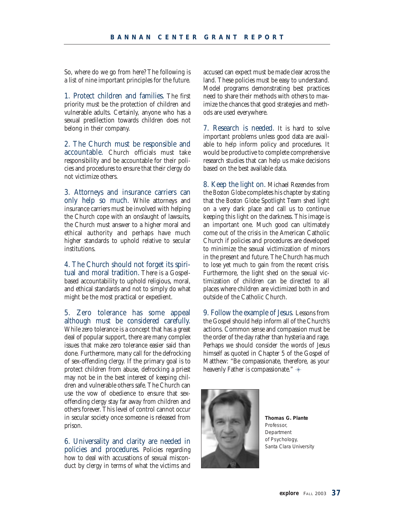So, where do we go from here? The following is a list of nine important principles for the future.

1. Protect children and families. The first priority must be the protection of children and vulnerable adults. Certainly, anyone who has a sexual predilection towards children does not belong in their company.

2. The Church must be responsible and accountable. Church officials must take responsibility and be accountable for their policies and procedures to ensure that their clergy do not victimize others.

3. Attorneys and insurance carriers can only help so much. While attorneys and insurance carriers must be involved with helping the Church cope with an onslaught of lawsuits, the Church must answer to a higher moral and ethical authority and perhaps have much higher standards to uphold relative to secular institutions.

4. The Church should not forget its spiritual and moral tradition. There is a Gospelbased accountability to uphold religious, moral, and ethical standards and not to simply do what might be the most practical or expedient.

5. Zero tolerance has some appeal although must be considered carefully. While zero tolerance is a concept that has a great deal of popular support, there are many complex issues that make zero tolerance easier said than done. Furthermore, many call for the defrocking of sex-offending clergy. If the primary goal is to protect children from abuse, defrocking a priest may not be in the best interest of keeping children and vulnerable others safe. The Church can use the vow of obedience to ensure that sexoffending clergy stay far away from children and others forever. This level of control cannot occur in secular society once someone is released from prison.

6. Universality and clarity are needed in policies and procedures. Policies regarding how to deal with accusations of sexual misconduct by clergy in terms of what the victims and accused can expect must be made clear across the land. These policies must be easy to understand. Model programs demonstrating best practices need to share their methods with others to maximize the chances that good strategies and methods are used everywhere.

7. Research is needed. It is hard to solve important problems unless good data are available to help inform policy and procedures. It would be productive to complete comprehensive research studies that can help us make decisions based on the best available data.

8. Keep the light on. Michael Rezendes from the *Boston Globe* completes his chapter by stating that the *Boston Globe* Spotlight Team shed light on a very dark place and call us to continue keeping this light on the darkness. This image is an important one. Much good can ultimately come out of the crisis in the American Catholic Church if policies and procedures are developed to minimize the sexual victimization of minors in the present and future. The Church has much to lose yet much to gain from the recent crisis. Furthermore, the light shed on the sexual victimization of children can be directed to all places where children are victimized both in and outside of the Catholic Church.

9. Follow the example of Jesus*.* Lessons from the Gospel should help inform all of the Church's actions. Common sense and compassion must be the order of the day rather than hysteria and rage. Perhaps we should consider the words of Jesus himself as quoted in Chapter 5 of the Gospel of Matthew: "Be compassionate, therefore, as your heavenly Father is compassionate."  $*$ 



**Thomas G. Plante** *Professor, Department of Psychology, Santa Clara University*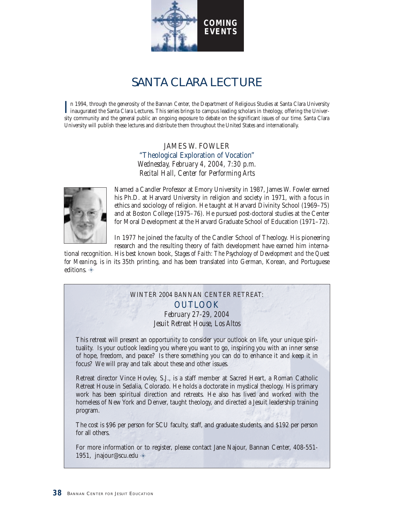

### SANTA CLARA LECTURE

In 1994, through the generosity of the Bannan Center, the Department of Religious Studies at Santa Clara University<br>inaugurated the Santa Clara Lectures. This series brings to campus leading scholars in theology, offering inaugurated the Santa Clara Lectures. This series brings to campus leading scholars in theology, offering the University community and the general public an ongoing exposure to debate on the significant issues of our time. Santa Clara University will publish these lectures and distribute them throughout the United States and internationally.

> JAMES W. FOWLER "Theological Exploration of Vocation" *Wednesday, February 4, 2004, 7:30 p.m. Recital Hall, Center for Performing Arts*



Named a Candler Professor at Emory University in 1987, James W. Fowler earned his Ph.D. at Harvard University in religion and society in 1971, with a focus in ethics and sociology of religion. He taught at Harvard Divinity School (1969–75) and at Boston College (1975–76). He pursued post-doctoral studies at the Center for Moral Development at the Harvard Graduate School of Education (1971–72).

In 1977 he joined the faculty of the Candler School of Theology. His pioneering research and the resulting theory of faith development have earned him interna-

tional recognition. His best known book, *Stages of Faith: The Psychology of Development and the Quest for Meaning*, is in its 35th printing, and has been translated into German, Korean, and Portuguese editions.

### WINTER 2004 BANNAN CENTER RETREAT: OUTLOOK *February 27-29, 2004*

*Jesuit Retreat House, Los Altos*

This retreat will present an opportunity to consider your outlook on life, your unique spirituality. Is your outlook leading you where you want to go, inspiring you with an inner sense of hope, freedom, and peace? Is there something you can do to enhance it and keep it in focus? We will pray and talk about these and other issues.

Retreat director Vince Hovley, S.J., is a staff member at Sacred Heart, a Roman Catholic Retreat House in Sedalia, Colorado. He holds a doctorate in mystical theology. His primary work has been spiritual direction and retreats. He also has lived and worked with the homeless of New York and Denver, taught theology, and directed a Jesuit leadership training program.

The cost is \$96 per person for SCU faculty, staff, and graduate students, and \$192 per person for all others.

For more information or to register, please contact Jane Najour, Bannan Center, 408-551- 1951, jnajour@scu.edu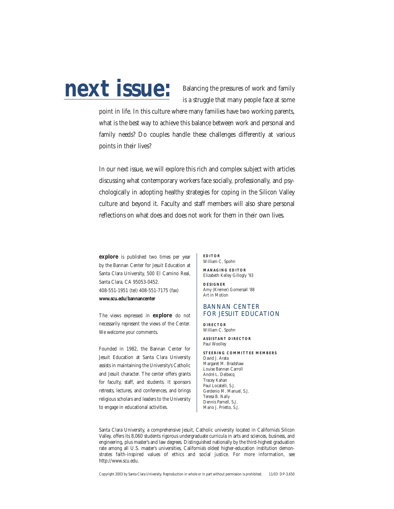

Balancing the pressures of work and family is a struggle that many people face at some

point in life. In this culture where many families have two working parents, what is the best way to achieve this balance between work and personal and family needs? Do couples handle these challenges differently at various points in their lives?

In our next issue, we will explore this rich and complex subject with articles discussing what contemporary workers face socially, professionally, and psychologically in adopting healthy strategies for coping in the Silicon Valley culture and beyond it. Faculty and staff members will also share personal reflections on what does and does not work for them in their own lives.

**explore** is published two times per year by the Bannan Center for Jesuit Education at Santa Clara University, 500 El Camino Real, Santa Clara, CA 95053-0452. 408-551-1951 (tel) 408-551-7175 (fax) **www.scu.edu/bannancenter**

The views expressed in **explore** do not necessarily represent the views of the Center. We welcome your comments.

Founded in 1982, the Bannan Center for Jesuit Education at Santa Clara University assists in maintaining the University's Catholic and Jesuit character. The center offers grants for faculty, staff, and students. It sponsors retreats, lectures, and conferences, and brings religious scholars and leaders to the University to engage in educational activities.

**EDITOR** William C. Spohn

Art in Motion

**MANAGING EDITOR** Elizabeth Kelley Gillogly '93 **DESIGNER** Amy (Kremer) Gomersall '88

### BANNAN CENTER FOR JESUIT EDUCATION

**DIRECTOR** William C. Spohn

**ASSISTANT DIRECTOR** Paul Woolley

**STEERING COMMITTEE MEMBERS** David J. Arata Margaret M. Bradshaw Louise Bannan Carroll André L. Delbecq Tracey Kahan Paul Locatelli, S.J. Gerdenio M. Manuel, S.J. Teresa B. Nally Dennis Parnell, S.J. Mario J. Prietto, S.J.

Santa Clara University, a comprehensive Jesuit, Catholic university located in California's Silicon Valley, offers its 8,060 students rigorous undergraduate curricula in arts and sciences, business, and engineering, plus master's and law degrees. Distinguished nationally by the third-highest graduation rate among all U.S. master's universities, California's oldest higher-education institution demonstrates faith-inspired values of ethics and social justice. For more information, see http://www.scu.edu.